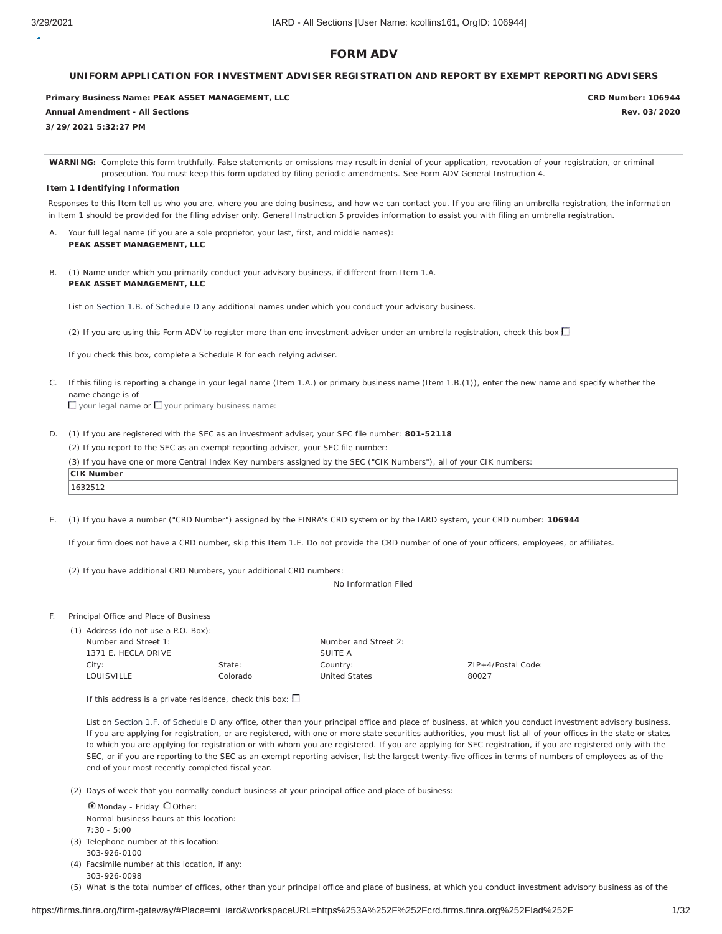# **FORM ADV**

# **UNIFORM APPLICATION FOR INVESTMENT ADVISER REGISTRATION AND REPORT BY EXEMPT REPORTING ADVISERS**

**Primary Business Name: PEAK ASSET MANAGEMENT, LLC CRD Number: 106944**

**3/29/2021 5:32:27 PM**

**Annual Amendment - All Sections Rev. 03/2020**

|    |                                                                                                                                                                                                                                                                                                               |                    |                                                                            | WARNING: Complete this form truthfully. False statements or omissions may result in denial of your application, revocation of your registration, or criminal<br>prosecution. You must keep this form updated by filing periodic amendments. See Form ADV General Instruction 4.                                                                                                                                                                                                                                                                                                                                                                       |
|----|---------------------------------------------------------------------------------------------------------------------------------------------------------------------------------------------------------------------------------------------------------------------------------------------------------------|--------------------|----------------------------------------------------------------------------|-------------------------------------------------------------------------------------------------------------------------------------------------------------------------------------------------------------------------------------------------------------------------------------------------------------------------------------------------------------------------------------------------------------------------------------------------------------------------------------------------------------------------------------------------------------------------------------------------------------------------------------------------------|
|    | Item 1 Identifying Information                                                                                                                                                                                                                                                                                |                    |                                                                            |                                                                                                                                                                                                                                                                                                                                                                                                                                                                                                                                                                                                                                                       |
|    |                                                                                                                                                                                                                                                                                                               |                    |                                                                            | Responses to this Item tell us who you are, where you are doing business, and how we can contact you. If you are filing an <i>umbrella registration</i> , the information<br>in Item 1 should be provided for the filing adviser only. General Instruction 5 provides information to assist you with filing an umbrella registration.                                                                                                                                                                                                                                                                                                                 |
| Α. | Your full legal name (if you are a sole proprietor, your last, first, and middle names):<br>PEAK ASSET MANAGEMENT, LLC                                                                                                                                                                                        |                    |                                                                            |                                                                                                                                                                                                                                                                                                                                                                                                                                                                                                                                                                                                                                                       |
| В. | (1) Name under which you primarily conduct your advisory business, if different from Item 1.A.<br>PEAK ASSET MANAGEMENT, LLC                                                                                                                                                                                  |                    |                                                                            |                                                                                                                                                                                                                                                                                                                                                                                                                                                                                                                                                                                                                                                       |
|    | List on Section 1.B. of Schedule D any additional names under which you conduct your advisory business.                                                                                                                                                                                                       |                    |                                                                            |                                                                                                                                                                                                                                                                                                                                                                                                                                                                                                                                                                                                                                                       |
|    |                                                                                                                                                                                                                                                                                                               |                    |                                                                            | (2) If you are using this Form ADV to register more than one investment adviser under an <i>umbrella registration</i> , check this box                                                                                                                                                                                                                                                                                                                                                                                                                                                                                                                |
|    | If you check this box, complete a Schedule R for each relying adviser.                                                                                                                                                                                                                                        |                    |                                                                            |                                                                                                                                                                                                                                                                                                                                                                                                                                                                                                                                                                                                                                                       |
| C. | name change is of<br>$\Box$ your legal name or $\Box$ your primary business name:                                                                                                                                                                                                                             |                    |                                                                            | If this filing is reporting a change in your legal name (Item 1.A.) or primary business name (Item 1.B.(1)), enter the new name and specify whether the                                                                                                                                                                                                                                                                                                                                                                                                                                                                                               |
| D. | (1) If you are registered with the SEC as an investment adviser, your SEC file number: 801-52118<br>(2) If you report to the SEC as an exempt reporting adviser, your SEC file number:<br>(3) If you have one or more Central Index Key numbers assigned by the SEC ("CIK Numbers"), all of your CIK numbers: |                    |                                                                            |                                                                                                                                                                                                                                                                                                                                                                                                                                                                                                                                                                                                                                                       |
|    | <b>CIK Number</b>                                                                                                                                                                                                                                                                                             |                    |                                                                            |                                                                                                                                                                                                                                                                                                                                                                                                                                                                                                                                                                                                                                                       |
|    | 1632512                                                                                                                                                                                                                                                                                                       |                    |                                                                            |                                                                                                                                                                                                                                                                                                                                                                                                                                                                                                                                                                                                                                                       |
|    |                                                                                                                                                                                                                                                                                                               |                    |                                                                            |                                                                                                                                                                                                                                                                                                                                                                                                                                                                                                                                                                                                                                                       |
| Е. | (2) If you have additional CRD Numbers, your additional CRD numbers:                                                                                                                                                                                                                                          |                    | No Information Filed                                                       | (1) If you have a number ("CRD Number") assigned by the FINRA's CRD system or by the IARD system, your CRD number: 106944<br>If your firm does not have a CRD number, skip this Item 1.E. Do not provide the CRD number of one of your officers, employees, or affiliates.                                                                                                                                                                                                                                                                                                                                                                            |
|    |                                                                                                                                                                                                                                                                                                               |                    |                                                                            |                                                                                                                                                                                                                                                                                                                                                                                                                                                                                                                                                                                                                                                       |
| F. | Principal Office and Place of Business<br>(1) Address (do not use a P.O. Box):<br>Number and Street 1:<br>1371 E. HECLA DRIVE<br>City:<br>LOUISVILLE                                                                                                                                                          | State:<br>Colorado | Number and Street 2:<br><b>SUITE A</b><br>Country:<br><b>United States</b> | ZIP+4/Postal Code:<br>80027                                                                                                                                                                                                                                                                                                                                                                                                                                                                                                                                                                                                                           |
|    | If this address is a private residence, check this box: $\square$                                                                                                                                                                                                                                             |                    |                                                                            |                                                                                                                                                                                                                                                                                                                                                                                                                                                                                                                                                                                                                                                       |
|    | end of your most recently completed fiscal year.                                                                                                                                                                                                                                                              |                    |                                                                            | List on Section 1.F. of Schedule D any office, other than your principal office and place of business, at which you conduct investment advisory business.<br>If you are applying for registration, or are registered, with one or more state securities authorities, you must list all of your offices in the state or states<br>to which you are applying for registration or with whom you are registered. If you are applying for SEC registration, if you are registered only with the<br>SEC, or if you are reporting to the SEC as an exempt reporting adviser, list the largest twenty-five offices in terms of numbers of employees as of the |
|    | (2) Days of week that you normally conduct business at your principal office and place of business:                                                                                                                                                                                                           |                    |                                                                            |                                                                                                                                                                                                                                                                                                                                                                                                                                                                                                                                                                                                                                                       |
|    | <b>Monday</b> - Friday O Other:<br>Normal business hours at this location:<br>$7:30 - 5:00$                                                                                                                                                                                                                   |                    |                                                                            |                                                                                                                                                                                                                                                                                                                                                                                                                                                                                                                                                                                                                                                       |
|    | (3) Telephone number at this location:<br>303-926-0100                                                                                                                                                                                                                                                        |                    |                                                                            |                                                                                                                                                                                                                                                                                                                                                                                                                                                                                                                                                                                                                                                       |
|    | (4) Facsimile number at this location, if any:<br>303-926-0098                                                                                                                                                                                                                                                |                    |                                                                            |                                                                                                                                                                                                                                                                                                                                                                                                                                                                                                                                                                                                                                                       |
|    |                                                                                                                                                                                                                                                                                                               |                    |                                                                            | (5) What is the total number of offices, other than your <i>principal office and place of business</i> , at which you conduct investment advisory business as of the                                                                                                                                                                                                                                                                                                                                                                                                                                                                                  |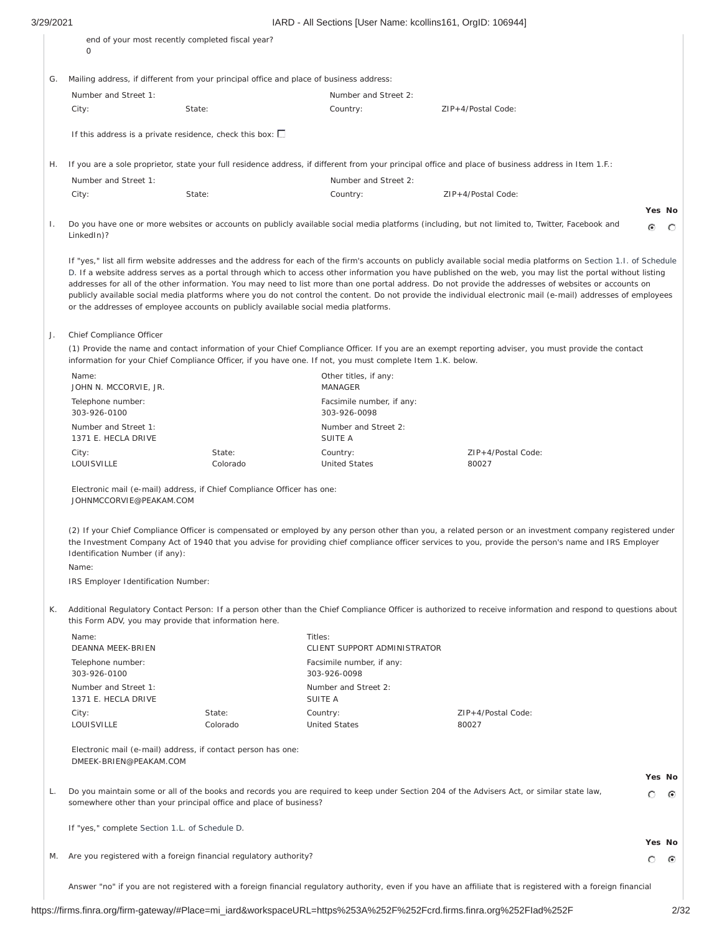| 3/29/2021                                                                                                                                                                                                                                                                                                                                                                                                                                                                                                                                                                                                                                                                                                                                           |                                                                                 |                                                                        | IARD - All Sections [User Name: kcollins161, OrgID: 106944]                                                |                                                                                                                                                                                                                                                                                                                          |                        |
|-----------------------------------------------------------------------------------------------------------------------------------------------------------------------------------------------------------------------------------------------------------------------------------------------------------------------------------------------------------------------------------------------------------------------------------------------------------------------------------------------------------------------------------------------------------------------------------------------------------------------------------------------------------------------------------------------------------------------------------------------------|---------------------------------------------------------------------------------|------------------------------------------------------------------------|------------------------------------------------------------------------------------------------------------|--------------------------------------------------------------------------------------------------------------------------------------------------------------------------------------------------------------------------------------------------------------------------------------------------------------------------|------------------------|
| end of your most recently completed fiscal year?<br>0                                                                                                                                                                                                                                                                                                                                                                                                                                                                                                                                                                                                                                                                                               |                                                                                 |                                                                        |                                                                                                            |                                                                                                                                                                                                                                                                                                                          |                        |
| G.                                                                                                                                                                                                                                                                                                                                                                                                                                                                                                                                                                                                                                                                                                                                                  |                                                                                 |                                                                        | Mailing address, if different from your principal office and place of business address:                    |                                                                                                                                                                                                                                                                                                                          |                        |
|                                                                                                                                                                                                                                                                                                                                                                                                                                                                                                                                                                                                                                                                                                                                                     | Number and Street 1:                                                            |                                                                        | Number and Street 2:                                                                                       |                                                                                                                                                                                                                                                                                                                          |                        |
|                                                                                                                                                                                                                                                                                                                                                                                                                                                                                                                                                                                                                                                                                                                                                     | City:                                                                           | State:                                                                 | Country:                                                                                                   | ZIP+4/Postal Code:                                                                                                                                                                                                                                                                                                       |                        |
|                                                                                                                                                                                                                                                                                                                                                                                                                                                                                                                                                                                                                                                                                                                                                     |                                                                                 | If this address is a private residence, check this box: $\square$      |                                                                                                            |                                                                                                                                                                                                                                                                                                                          |                        |
| Н.                                                                                                                                                                                                                                                                                                                                                                                                                                                                                                                                                                                                                                                                                                                                                  |                                                                                 |                                                                        |                                                                                                            | If you are a sole proprietor, state your full residence address, if different from your principal office and place of business address in Item 1.F.:                                                                                                                                                                     |                        |
|                                                                                                                                                                                                                                                                                                                                                                                                                                                                                                                                                                                                                                                                                                                                                     | Number and Street 1:                                                            |                                                                        | Number and Street 2:                                                                                       |                                                                                                                                                                                                                                                                                                                          |                        |
|                                                                                                                                                                                                                                                                                                                                                                                                                                                                                                                                                                                                                                                                                                                                                     | City:                                                                           | State:                                                                 | Country:                                                                                                   | ZIP+4/Postal Code:                                                                                                                                                                                                                                                                                                       |                        |
| Ι.                                                                                                                                                                                                                                                                                                                                                                                                                                                                                                                                                                                                                                                                                                                                                  | LinkedIn)?                                                                      |                                                                        |                                                                                                            | Do you have one or more websites or accounts on publicly available social media platforms (including, but not limited to, Twitter, Facebook and                                                                                                                                                                          | Yes No<br>⊛<br>$\circ$ |
| If "yes," list all firm website addresses and the address for each of the firm's accounts on publicly available social media platforms on Section 1.1. of Schedule<br>D. If a website address serves as a portal through which to access other information you have published on the web, you may list the portal without listing<br>addresses for all of the other information. You may need to list more than one portal address. Do not provide the addresses of websites or accounts on<br>publicly available social media platforms where you do not control the content. Do not provide the individual electronic mail (e-mail) addresses of employees<br>or the addresses of employee accounts on publicly available social media platforms. |                                                                                 |                                                                        |                                                                                                            |                                                                                                                                                                                                                                                                                                                          |                        |
| J.                                                                                                                                                                                                                                                                                                                                                                                                                                                                                                                                                                                                                                                                                                                                                  | Chief Compliance Officer                                                        |                                                                        | information for your Chief Compliance Officer, if you have one. If not, you must complete Item 1.K. below. | (1) Provide the name and contact information of your Chief Compliance Officer. If you are an exempt reporting adviser, you must provide the contact                                                                                                                                                                      |                        |
|                                                                                                                                                                                                                                                                                                                                                                                                                                                                                                                                                                                                                                                                                                                                                     | Name:                                                                           |                                                                        | Other titles, if any:                                                                                      |                                                                                                                                                                                                                                                                                                                          |                        |
|                                                                                                                                                                                                                                                                                                                                                                                                                                                                                                                                                                                                                                                                                                                                                     | JOHN N. MCCORVIE, JR.                                                           |                                                                        | MANAGER                                                                                                    |                                                                                                                                                                                                                                                                                                                          |                        |
|                                                                                                                                                                                                                                                                                                                                                                                                                                                                                                                                                                                                                                                                                                                                                     | Telephone number:<br>303-926-0100                                               |                                                                        | Facsimile number, if any:<br>303-926-0098                                                                  |                                                                                                                                                                                                                                                                                                                          |                        |
|                                                                                                                                                                                                                                                                                                                                                                                                                                                                                                                                                                                                                                                                                                                                                     | Number and Street 1:<br>1371 E. HECLA DRIVE                                     |                                                                        | Number and Street 2:<br>SUITE A                                                                            |                                                                                                                                                                                                                                                                                                                          |                        |
|                                                                                                                                                                                                                                                                                                                                                                                                                                                                                                                                                                                                                                                                                                                                                     | City:<br>LOUISVILLE                                                             | State:<br>Colorado                                                     | Country:<br><b>United States</b>                                                                           | ZIP+4/Postal Code:<br>80027                                                                                                                                                                                                                                                                                              |                        |
|                                                                                                                                                                                                                                                                                                                                                                                                                                                                                                                                                                                                                                                                                                                                                     | JOHNMCCORVIE@PEAKAM.COM                                                         | Electronic mail (e-mail) address, if Chief Compliance Officer has one: |                                                                                                            |                                                                                                                                                                                                                                                                                                                          |                        |
|                                                                                                                                                                                                                                                                                                                                                                                                                                                                                                                                                                                                                                                                                                                                                     | Identification Number (if any):<br>Name:<br>IRS Employer Identification Number: |                                                                        |                                                                                                            | (2) If your Chief Compliance Officer is compensated or employed by any person other than you, a related person or an investment company registered under<br>the Investment Company Act of 1940 that you advise for providing chief compliance officer services to you, provide the <i>person's</i> name and IRS Employer |                        |
|                                                                                                                                                                                                                                                                                                                                                                                                                                                                                                                                                                                                                                                                                                                                                     |                                                                                 |                                                                        |                                                                                                            |                                                                                                                                                                                                                                                                                                                          |                        |
| К.                                                                                                                                                                                                                                                                                                                                                                                                                                                                                                                                                                                                                                                                                                                                                  | this Form ADV, you may provide that information here.                           |                                                                        |                                                                                                            | Additional Regulatory Contact Person: If a person other than the Chief Compliance Officer is authorized to receive information and respond to questions about                                                                                                                                                            |                        |
|                                                                                                                                                                                                                                                                                                                                                                                                                                                                                                                                                                                                                                                                                                                                                     | Name:<br>DEANNA MEEK-BRIEN                                                      |                                                                        | Titles:<br>CLIENT SUPPORT ADMINISTRATOR                                                                    |                                                                                                                                                                                                                                                                                                                          |                        |
|                                                                                                                                                                                                                                                                                                                                                                                                                                                                                                                                                                                                                                                                                                                                                     | Telephone number:                                                               |                                                                        | Facsimile number, if any:                                                                                  |                                                                                                                                                                                                                                                                                                                          |                        |
|                                                                                                                                                                                                                                                                                                                                                                                                                                                                                                                                                                                                                                                                                                                                                     | 303-926-0100                                                                    |                                                                        | 303-926-0098                                                                                               |                                                                                                                                                                                                                                                                                                                          |                        |
|                                                                                                                                                                                                                                                                                                                                                                                                                                                                                                                                                                                                                                                                                                                                                     | Number and Street 1:<br>1371 E. HECLA DRIVE                                     |                                                                        | Number and Street 2:<br><b>SUITE A</b>                                                                     |                                                                                                                                                                                                                                                                                                                          |                        |
|                                                                                                                                                                                                                                                                                                                                                                                                                                                                                                                                                                                                                                                                                                                                                     | City:                                                                           | State:                                                                 | Country:                                                                                                   | ZIP+4/Postal Code:                                                                                                                                                                                                                                                                                                       |                        |
|                                                                                                                                                                                                                                                                                                                                                                                                                                                                                                                                                                                                                                                                                                                                                     | LOUISVILLE                                                                      | Colorado                                                               | <b>United States</b>                                                                                       | 80027                                                                                                                                                                                                                                                                                                                    |                        |
|                                                                                                                                                                                                                                                                                                                                                                                                                                                                                                                                                                                                                                                                                                                                                     | DMEEK-BRIEN@PEAKAM.COM                                                          | Electronic mail (e-mail) address, if contact person has one:           |                                                                                                            |                                                                                                                                                                                                                                                                                                                          |                        |
| L.                                                                                                                                                                                                                                                                                                                                                                                                                                                                                                                                                                                                                                                                                                                                                  |                                                                                 | somewhere other than your principal office and place of business?      |                                                                                                            | Do you maintain some or all of the books and records you are required to keep under Section 204 of the Advisers Act, or similar state law,                                                                                                                                                                               | Yes No<br>O<br>⊛       |
|                                                                                                                                                                                                                                                                                                                                                                                                                                                                                                                                                                                                                                                                                                                                                     | If "yes," complete Section 1.L. of Schedule D.                                  |                                                                        |                                                                                                            |                                                                                                                                                                                                                                                                                                                          | Yes No                 |
| M.                                                                                                                                                                                                                                                                                                                                                                                                                                                                                                                                                                                                                                                                                                                                                  |                                                                                 | Are you registered with a foreign financial regulatory authority?      |                                                                                                            |                                                                                                                                                                                                                                                                                                                          | ⊛<br>O                 |
|                                                                                                                                                                                                                                                                                                                                                                                                                                                                                                                                                                                                                                                                                                                                                     |                                                                                 |                                                                        |                                                                                                            | Answer "no" if you are not registered with a foreign financial regulatory authority, even if you have an affiliate that is registered with a foreign financial                                                                                                                                                           |                        |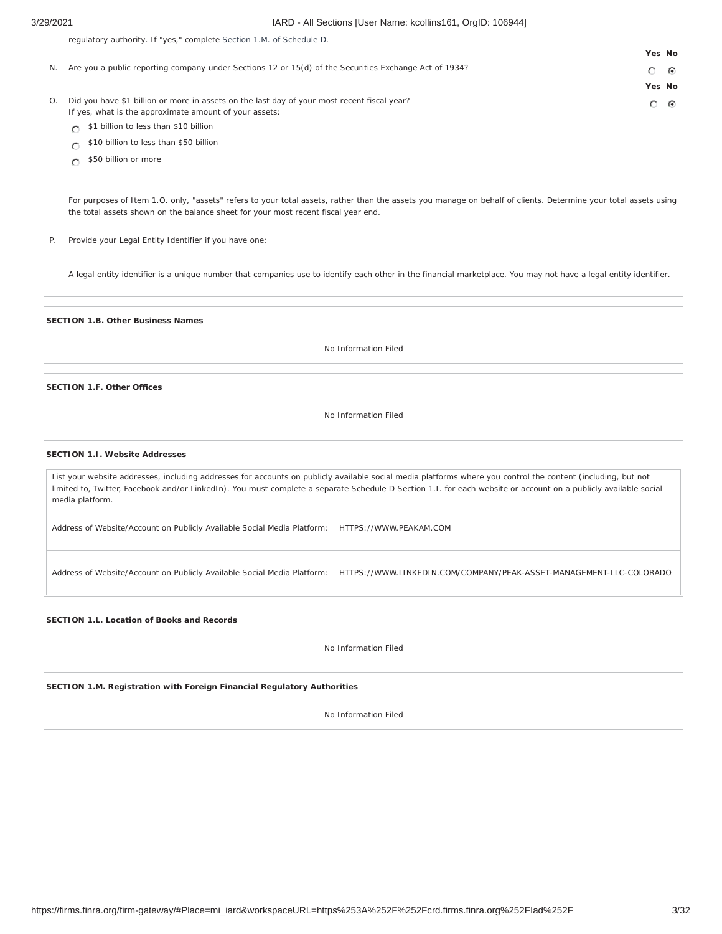|    | regulatory authority. If "yes," complete Section 1.M. of Schedule D.                                                                                  |        |  |
|----|-------------------------------------------------------------------------------------------------------------------------------------------------------|--------|--|
|    |                                                                                                                                                       | Yes No |  |
| N. | Are you a public reporting company under Sections 12 or 15(d) of the Securities Exchange Act of 1934?                                                 | േര     |  |
|    |                                                                                                                                                       | Yes No |  |
| О. | Did you have \$1 billion or more in assets on the last day of your most recent fiscal year?<br>If yes, what is the approximate amount of your assets: | േര     |  |
|    | \$1 billion to less than \$10 billion<br>⌒                                                                                                            |        |  |
|    | \$10 billion to less than \$50 billion                                                                                                                |        |  |

\$50 billion or more  $\circ$ 

*For purposes of Item 1.O. only, "assets" refers to your total assets, rather than the assets you manage on behalf of clients. Determine your total assets using the total assets shown on the balance sheet for your most recent fiscal year end.*

P. Provide your *Legal Entity Identifier* if you have one:

A *legal entity identifier* is a unique number that companies use to identify each other in the financial marketplace. You may not have a *legal entity identifier*.

**SECTION 1.B. Other Business Names**

No Information Filed

**SECTION 1.F. Other Offices**

No Information Filed

#### **SECTION 1.I. Website Addresses**

List your website addresses, including addresses for accounts on publicly available social media platforms where you control the content (including, but not limited to, Twitter, Facebook and/or LinkedIn). You must complete a separate Schedule D Section 1.I. for each website or account on a publicly available social media platform.

Address of Website/Account on Publicly Available Social Media Platform: HTTPS://WWW.PEAKAM.COM

Address of Website/Account on Publicly Available Social Media Platform: HTTPS://WWW.LINKEDIN.COM/COMPANY/PEAK-ASSET-MANAGEMENT-LLC-COLORADO

**SECTION 1.L. Location of Books and Records**

No Information Filed

**SECTION 1.M. Registration with Foreign Financial Regulatory Authorities**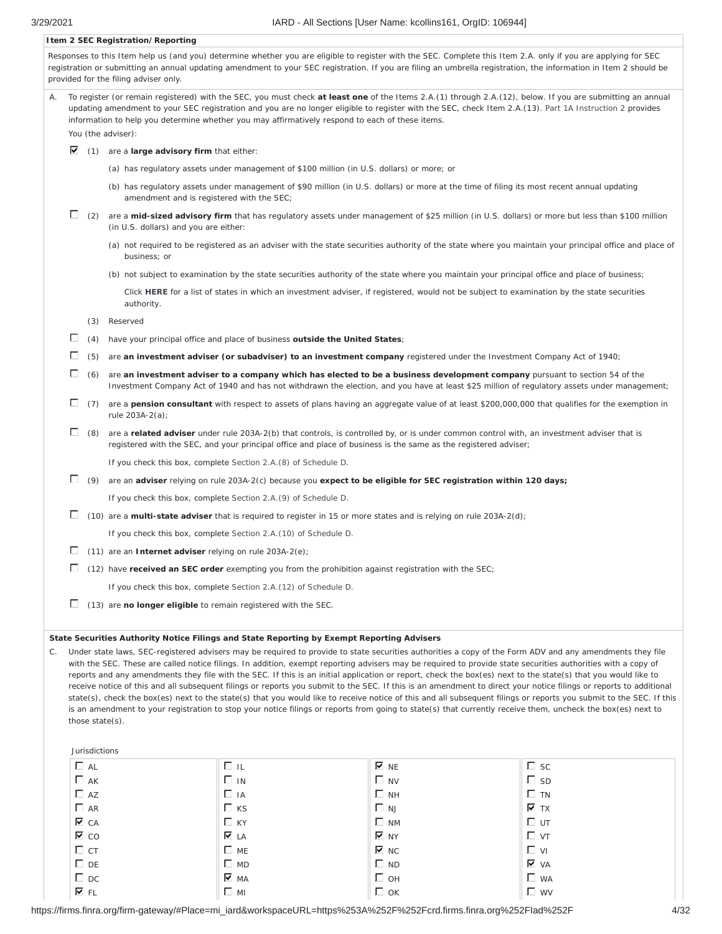| I tem 2 SEC Registration/Reporting |  |
|------------------------------------|--|
|------------------------------------|--|

Responses to this Item help us (and you) determine whether you are eligible to register with the SEC. Complete this Item 2.A. only if you are applying for SEC registration or submitting an *annual updating amendment* to your SEC registration. If you are filing an *umbrella registration*, the information in Item 2 should be provided for the *filing adviser* only.

| А.       | To register (or remain registered) with the SEC, you must check at least one of the Items 2.A.(1) through 2.A.(12), below. If you are submitting an annual<br>updating amendment to your SEC registration and you are no longer eligible to register with the SEC, check Item 2.A. (13). Part 1A Instruction 2 provides<br>information to help you determine whether you may affirmatively respond to each of these items. |                                                                                                                                                                                                                                                                                                                                                                                                                                                                                          |  |  |  |  |  |
|----------|----------------------------------------------------------------------------------------------------------------------------------------------------------------------------------------------------------------------------------------------------------------------------------------------------------------------------------------------------------------------------------------------------------------------------|------------------------------------------------------------------------------------------------------------------------------------------------------------------------------------------------------------------------------------------------------------------------------------------------------------------------------------------------------------------------------------------------------------------------------------------------------------------------------------------|--|--|--|--|--|
|          |                                                                                                                                                                                                                                                                                                                                                                                                                            | You (the adviser):                                                                                                                                                                                                                                                                                                                                                                                                                                                                       |  |  |  |  |  |
|          |                                                                                                                                                                                                                                                                                                                                                                                                                            | $\blacksquare$ (1) are a <b>large advisory firm</b> that either:                                                                                                                                                                                                                                                                                                                                                                                                                         |  |  |  |  |  |
|          |                                                                                                                                                                                                                                                                                                                                                                                                                            | (a) has regulatory assets under management of \$100 million (in U.S. dollars) or more; or                                                                                                                                                                                                                                                                                                                                                                                                |  |  |  |  |  |
|          |                                                                                                                                                                                                                                                                                                                                                                                                                            | (b) has regulatory assets under management of \$90 million (in U.S. dollars) or more at the time of filing its most recent annual updating<br>amendment and is registered with the SEC;                                                                                                                                                                                                                                                                                                  |  |  |  |  |  |
| D.       | (2)                                                                                                                                                                                                                                                                                                                                                                                                                        | are a mid-sized advisory firm that has regulatory assets under management of \$25 million (in U.S. dollars) or more but less than \$100 million<br>(in U.S. dollars) and you are either:                                                                                                                                                                                                                                                                                                 |  |  |  |  |  |
|          |                                                                                                                                                                                                                                                                                                                                                                                                                            | (a) not required to be registered as an adviser with the state securities authority of the state where you maintain your principal office and place of<br>business; or                                                                                                                                                                                                                                                                                                                   |  |  |  |  |  |
|          |                                                                                                                                                                                                                                                                                                                                                                                                                            | (b) not subject to examination by the <i>state securities authority</i> of the state where you maintain your <i>principal office and place of business</i> ;                                                                                                                                                                                                                                                                                                                             |  |  |  |  |  |
|          |                                                                                                                                                                                                                                                                                                                                                                                                                            | Click HERE for a list of states in which an investment adviser, if registered, would not be subject to examination by the state securities<br>authority.                                                                                                                                                                                                                                                                                                                                 |  |  |  |  |  |
|          | (3)                                                                                                                                                                                                                                                                                                                                                                                                                        | Reserved                                                                                                                                                                                                                                                                                                                                                                                                                                                                                 |  |  |  |  |  |
| Đ.       | (4)                                                                                                                                                                                                                                                                                                                                                                                                                        | have your principal office and place of business outside the United States;                                                                                                                                                                                                                                                                                                                                                                                                              |  |  |  |  |  |
| D.       | (5)                                                                                                                                                                                                                                                                                                                                                                                                                        | are an investment adviser (or subadviser) to an investment company registered under the Investment Company Act of 1940;                                                                                                                                                                                                                                                                                                                                                                  |  |  |  |  |  |
| D.       | (6)                                                                                                                                                                                                                                                                                                                                                                                                                        | are an investment adviser to a company which has elected to be a business development company pursuant to section 54 of the<br>Investment Company Act of 1940 and has not withdrawn the election, and you have at least \$25 million of regulatory assets under management;                                                                                                                                                                                                              |  |  |  |  |  |
| D.       |                                                                                                                                                                                                                                                                                                                                                                                                                            | (7) are a pension consultant with respect to assets of plans having an aggregate value of at least \$200,000,000 that qualifies for the exemption in<br>rule 203A-2(a);                                                                                                                                                                                                                                                                                                                  |  |  |  |  |  |
| $\Box$   | (8)                                                                                                                                                                                                                                                                                                                                                                                                                        | are a related adviser under rule 203A-2(b) that controls, is controlled by, or is under common control with, an investment adviser that is<br>registered with the SEC, and your <i>principal office and place of business</i> is the same as the registered adviser;                                                                                                                                                                                                                     |  |  |  |  |  |
|          |                                                                                                                                                                                                                                                                                                                                                                                                                            | If you check this box, complete Section 2.A. (8) of Schedule D.                                                                                                                                                                                                                                                                                                                                                                                                                          |  |  |  |  |  |
| O        |                                                                                                                                                                                                                                                                                                                                                                                                                            | (9) are an adviser relying on rule 203A-2(c) because you expect to be eligible for SEC registration within 120 days;                                                                                                                                                                                                                                                                                                                                                                     |  |  |  |  |  |
|          |                                                                                                                                                                                                                                                                                                                                                                                                                            | If you check this box, complete Section 2.A. (9) of Schedule D.                                                                                                                                                                                                                                                                                                                                                                                                                          |  |  |  |  |  |
| <b>A</b> |                                                                                                                                                                                                                                                                                                                                                                                                                            | (10) are a multi-state adviser that is required to register in 15 or more states and is relying on rule 203A-2(d);                                                                                                                                                                                                                                                                                                                                                                       |  |  |  |  |  |
|          |                                                                                                                                                                                                                                                                                                                                                                                                                            | If you check this box, complete Section 2.A. (10) of Schedule D.                                                                                                                                                                                                                                                                                                                                                                                                                         |  |  |  |  |  |
| ш        |                                                                                                                                                                                                                                                                                                                                                                                                                            | (11) are an Internet adviser relying on rule 203A-2(e);                                                                                                                                                                                                                                                                                                                                                                                                                                  |  |  |  |  |  |
| O        |                                                                                                                                                                                                                                                                                                                                                                                                                            | (12) have received an SEC order exempting you from the prohibition against registration with the SEC;                                                                                                                                                                                                                                                                                                                                                                                    |  |  |  |  |  |
|          |                                                                                                                                                                                                                                                                                                                                                                                                                            | If you check this box, complete Section 2.A. (12) of Schedule D.                                                                                                                                                                                                                                                                                                                                                                                                                         |  |  |  |  |  |
| D.       |                                                                                                                                                                                                                                                                                                                                                                                                                            | (13) are no longer eligible to remain registered with the SEC.                                                                                                                                                                                                                                                                                                                                                                                                                           |  |  |  |  |  |
|          |                                                                                                                                                                                                                                                                                                                                                                                                                            | State Securities Authority Notice Filings and State Reporting by Exempt Reporting Advisers                                                                                                                                                                                                                                                                                                                                                                                               |  |  |  |  |  |
| С.       |                                                                                                                                                                                                                                                                                                                                                                                                                            | Under state laws, SEC-registered advisers may be required to provide to state securities authorities a copy of the Form ADV and any amendments they file<br>with the SEC. These are called notice filings. In addition, exempt reporting advisers may be required to provide state securities authorities with a copy of<br>reports and any amendments they file with the SEC. If this is an initial annication or report, check the hox(es) next to the state(s) that you would like to |  |  |  |  |  |

reports and any amendments they file with the SEC. If this is an initial application or report, check the box(es) next to the state(s) that you would like to receive notice of this and all subsequent filings or reports you submit to the SEC. If this is an amendment to direct your *notice filings* or reports to additional state(s), check the box(es) next to the state(s) that you would like to receive notice of this and all subsequent filings or reports you submit to the SEC. If this is an amendment to your registration to stop your *notice filings* or reports from going to state(s) that currently receive them, uncheck the box(es) next to those state(s).

| Jurisdictions      |                               |                               |              |  |  |
|--------------------|-------------------------------|-------------------------------|--------------|--|--|
| $\Box$ AL          | Đщ                            | $\nabla$ NE                   | $\square$ sc |  |  |
| $\Box$ AK          | $\square$ in                  | $\square$ NV                  | $\square$ sp |  |  |
| $\Box$ AZ          | $\Box$ IA                     | $\square$ NH                  | $\Box$ TN    |  |  |
| $\Box$ AR          | $\Box$ KS                     | $\Box$ NJ                     | $\nabla$ TX  |  |  |
| $\triangledown$ CA | $\Box$ KY                     | $\Box$ NM                     | $\Box$ UT    |  |  |
| $\triangledown$ co | <b>⊽</b> LA                   | $\overline{\triangledown}$ NY | $\Box$ VT    |  |  |
| $\Box$ CT          | $\square$ ME                  | $\overline{\triangledown}$ NC | $\Box$ vi    |  |  |
| $\Box$ DE          | $\square$ MD                  | $\Box$ ND                     | VA V         |  |  |
| $\Box$ DC          | $\overline{\triangledown}$ MA | $\Box$ OH                     | $\Box$ WA    |  |  |
| $\nabla$ FL        | <b>⊡</b> мі                   | $\Box$ ok                     | $\square$ wv |  |  |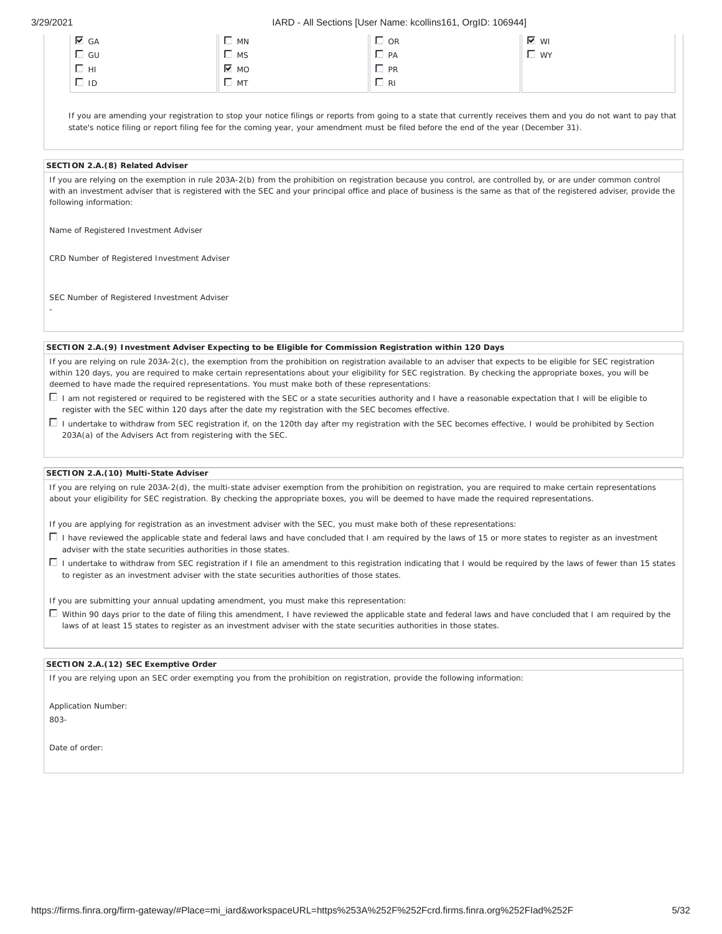-

### 3/29/2021 IARD - All Sections [User Name: kcollins161, OrgID: 106944]

| $\triangledown$ GA | MN                            | $\Box$ OR | $\overline{\mathbf{v}}$ wi |
|--------------------|-------------------------------|-----------|----------------------------|
| $\Box$ GU          | $\square$ MS                  | $\Box$ PA | $\Box$ WY                  |
| $\square$ HI       | $\overline{\triangledown}$ MO | $\Box$ PR |                            |
| $\Box$ ID          | MT                            | $\Box$ RI |                            |

*If you are amending your registration to stop your notice filings or reports from going to a state that currently receives them and you do not want to pay that state's notice filing or report filing fee for the coming year, your amendment must be filed before the end of the year (December 31).*

### **SECTION 2.A.(8) Related Adviser**

If you are relying on the exemption in rule 203A-2(b) from the prohibition on registration because you *control*, are *controlled* by, or are under common *control* with an investment adviser that is registered with the SEC and your *principal office and place of business* is the same as that of the registered adviser, provide the following information:

Name of Registered Investment Adviser

*CRD* Number of Registered Investment Adviser

SEC Number of Registered Investment Adviser

#### **SECTION 2.A.(9) Investment Adviser Expecting to be Eligible for Commission Registration within 120 Days**

If you are relying on rule 203A-2(c), the exemption from the prohibition on registration available to an adviser that expects to be eligible for SEC registration within 120 days, you are required to make certain representations about your eligibility for SEC registration. By checking the appropriate boxes, you will be deemed to have made the required representations. You must make both of these representations:

I am not registered or required to be registered with the SEC or a *state securities authority* and I have a reasonable expectation that I will be eligible to register with the SEC within 120 days after the date my registration with the SEC becomes effective.

I undertake to withdraw from SEC registration if, on the 120th day after my registration with the SEC becomes effective, I would be prohibited by Section 203A(a) of the Advisers Act from registering with the SEC.

#### **SECTION 2.A.(10) Multi-State Adviser**

If you are relying on rule 203A-2(d), the multi-state adviser exemption from the prohibition on registration, you are required to make certain representations about your eligibility for SEC registration. By checking the appropriate boxes, you will be deemed to have made the required representations.

If you are applying for registration as an investment adviser with the SEC, you must make both of these representations:

 $\Box$  I have reviewed the applicable state and federal laws and have concluded that I am required by the laws of 15 or more states to register as an investment adviser with the *state securities authorities* in those states.

 $\Box$  I undertake to withdraw from SEC registration if I file an amendment to this registration indicating that I would be required by the laws of fewer than 15 states to register as an investment adviser with the *state securities authorities* of those states.

If you are submitting your *annual updating amendment*, you must make this representation:

 $\Box$  Within 90 days prior to the date of filing this amendment, I have reviewed the applicable state and federal laws and have concluded that I am required by the laws of at least 15 states to register as an investment adviser with the *state securities authorities* in those states.

#### **SECTION 2.A.(12) SEC Exemptive** *Order*

If you are relying upon an SEC *order* exempting you from the prohibition on registration, provide the following information:

Application Number: 803-

Date of *order*: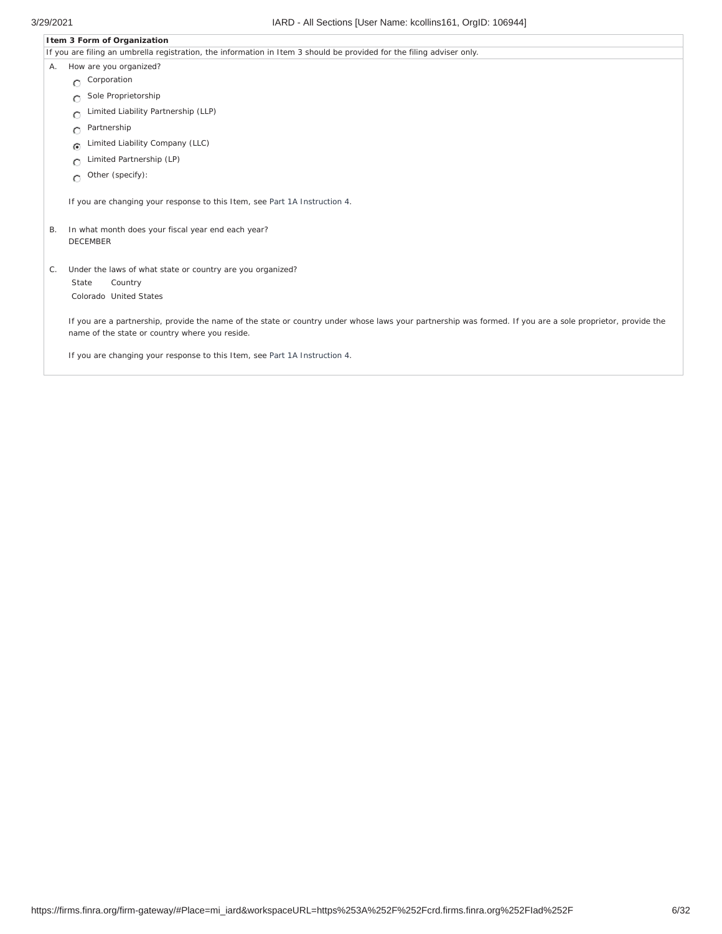#### **Item 3 Form of Organization**

|    | I tem 3 Form of Organization                                                                                                                                                                                 |  |  |  |  |  |
|----|--------------------------------------------------------------------------------------------------------------------------------------------------------------------------------------------------------------|--|--|--|--|--|
|    | If you are filing an umbrella registration, the information in Item 3 should be provided for the filing adviser only.                                                                                        |  |  |  |  |  |
| А. | How are you organized?                                                                                                                                                                                       |  |  |  |  |  |
|    | Corporation<br>$\circ$                                                                                                                                                                                       |  |  |  |  |  |
|    | Sole Proprietorship<br>O                                                                                                                                                                                     |  |  |  |  |  |
|    | Limited Liability Partnership (LLP)<br>O                                                                                                                                                                     |  |  |  |  |  |
|    | Partnership<br>$\circ$                                                                                                                                                                                       |  |  |  |  |  |
|    | Limited Liability Company (LLC)<br>$\omega$                                                                                                                                                                  |  |  |  |  |  |
|    | Limited Partnership (LP)<br>Ο                                                                                                                                                                                |  |  |  |  |  |
|    | Other (specify):<br>$\bigcap$                                                                                                                                                                                |  |  |  |  |  |
|    | If you are changing your response to this Item, see Part 1A Instruction 4.                                                                                                                                   |  |  |  |  |  |
| В. | In what month does your fiscal year end each year?<br><b>DECEMBER</b>                                                                                                                                        |  |  |  |  |  |
| C. | Under the laws of what state or country are you organized?<br>State<br>Country<br>Colorado United States                                                                                                     |  |  |  |  |  |
|    | If you are a partnership, provide the name of the state or country under whose laws your partnership was formed. If you are a sole proprietor, provide the<br>name of the state or country where you reside. |  |  |  |  |  |

*If you are changing your response to this Item, see Part 1A Instruction 4.*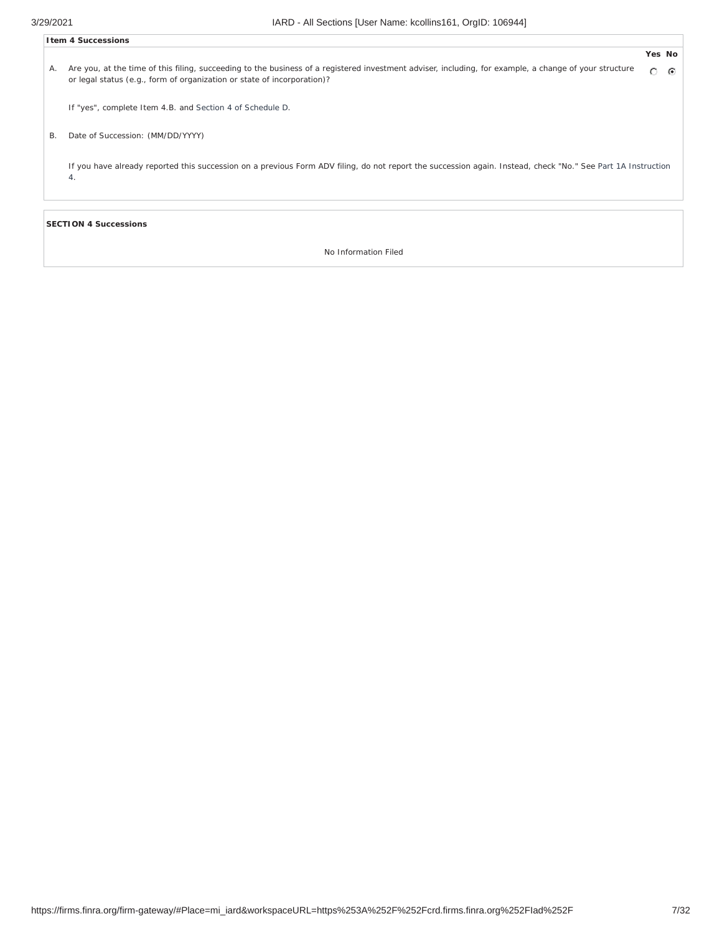| <b>Item 4 Successions</b>                                                                                                                                                                                                               |                   |      |
|-----------------------------------------------------------------------------------------------------------------------------------------------------------------------------------------------------------------------------------------|-------------------|------|
| Are you, at the time of this filing, succeeding to the business of a registered investment adviser, including, for example, a change of your structure<br>Α.<br>or legal status (e.g., form of organization or state of incorporation)? | Yes No<br>$\circ$ | - 61 |
| If "yes", complete Item 4.B. and Section 4 of Schedule D.                                                                                                                                                                               |                   |      |
| Date of Succession: (MM/DD/YYYY)<br>В.                                                                                                                                                                                                  |                   |      |
| If you have already reported this succession on a previous Form ADV filing, do not report the succession again. Instead, check "No." See Part 1A Instruction<br>4.                                                                      |                   |      |
|                                                                                                                                                                                                                                         |                   |      |
| <b>SECTION 4 Successions</b>                                                                                                                                                                                                            |                   |      |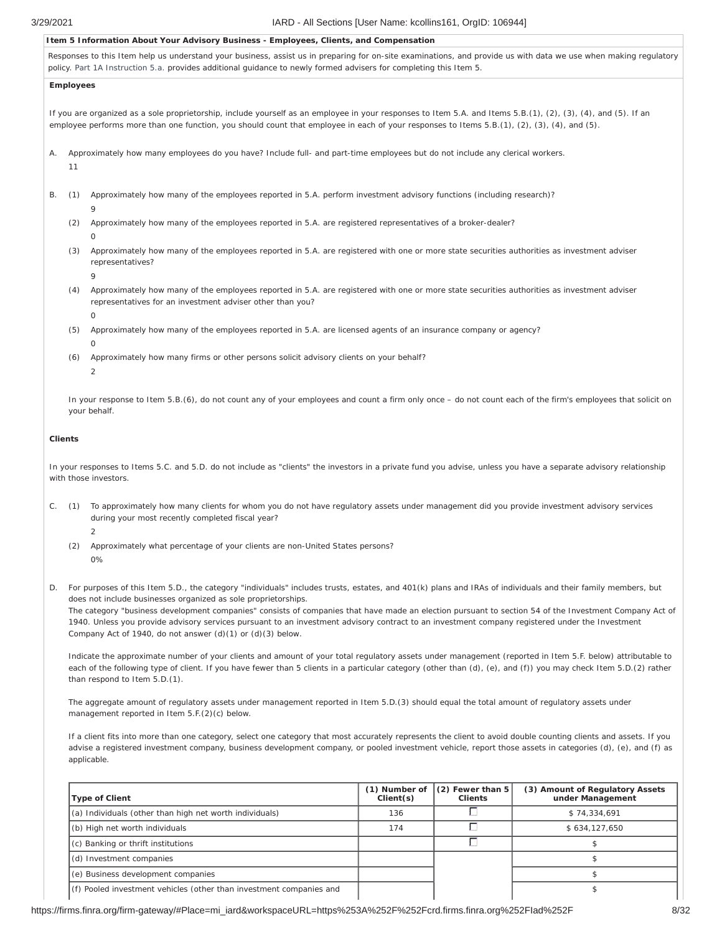|                                                                                                                                                                                                                                                                                        |                  | I tem 5 Information About Your Advisory Business - Employees, Clients, and Compensation                                                                                                                                                                                                                         |  |  |  |  |  |
|----------------------------------------------------------------------------------------------------------------------------------------------------------------------------------------------------------------------------------------------------------------------------------------|------------------|-----------------------------------------------------------------------------------------------------------------------------------------------------------------------------------------------------------------------------------------------------------------------------------------------------------------|--|--|--|--|--|
| Responses to this Item help us understand your business, assist us in preparing for on-site examinations, and provide us with data we use when making regulatory<br>policy. Part 1A Instruction 5.a. provides additional quidance to newly formed advisers for completing this Item 5. |                  |                                                                                                                                                                                                                                                                                                                 |  |  |  |  |  |
|                                                                                                                                                                                                                                                                                        | <b>Employees</b> |                                                                                                                                                                                                                                                                                                                 |  |  |  |  |  |
|                                                                                                                                                                                                                                                                                        |                  | If you are organized as a sole proprietorship, include yourself as an employee in your responses to Item 5.A. and Items 5.B. (1), (2), (3), (4), and (5). If an<br>employee performs more than one function, you should count that employee in each of your responses to Items 5.B.(1), (2), (3), (4), and (5). |  |  |  |  |  |
| А.                                                                                                                                                                                                                                                                                     | 11               | Approximately how many employees do you have? Include full- and part-time employees but do not include any clerical workers.                                                                                                                                                                                    |  |  |  |  |  |
| В.                                                                                                                                                                                                                                                                                     | (1)              | Approximately how many of the employees reported in 5.A. perform investment advisory functions (including research)?<br>9                                                                                                                                                                                       |  |  |  |  |  |
|                                                                                                                                                                                                                                                                                        | (2)              | Approximately how many of the <i>employees</i> reported in 5.A. are registered representatives of a broker-dealer?<br>$\Omega$                                                                                                                                                                                  |  |  |  |  |  |
|                                                                                                                                                                                                                                                                                        | (3)              | Approximately how many of the employees reported in 5.A. are registered with one or more state securities authorities as investment adviser<br>representatives?                                                                                                                                                 |  |  |  |  |  |
|                                                                                                                                                                                                                                                                                        |                  | 9                                                                                                                                                                                                                                                                                                               |  |  |  |  |  |
|                                                                                                                                                                                                                                                                                        | (4)              | Approximately how many of the employees reported in 5.A. are registered with one or more state securities authorities as investment adviser<br>representatives for an investment adviser other than you?                                                                                                        |  |  |  |  |  |
|                                                                                                                                                                                                                                                                                        |                  | $\circ$                                                                                                                                                                                                                                                                                                         |  |  |  |  |  |
|                                                                                                                                                                                                                                                                                        | (5)              | Approximately how many of the <i>employees</i> reported in 5.A. are licensed agents of an insurance company or agency?<br>$\mathbf 0$                                                                                                                                                                           |  |  |  |  |  |
|                                                                                                                                                                                                                                                                                        | (6)              | Approximately how many firms or other persons solicit advisory clients on your behalf?<br>2                                                                                                                                                                                                                     |  |  |  |  |  |
|                                                                                                                                                                                                                                                                                        |                  |                                                                                                                                                                                                                                                                                                                 |  |  |  |  |  |

*In your response to Item 5.B.(6), do not count any of your employees and count a firm only once – do not count each of the firm's employees that solicit on your behalf.*

#### *Clients*

*In your responses to Items 5.C. and 5.D. do not include as "clients" the investors in a private fund you advise, unless you have a separate advisory relationship with those investors.*

- C. (1) To approximately how many *clients* for whom you do not have regulatory assets under management did you provide investment advisory services during your most recently completed fiscal year?
	- 2

(2) Approximately what percentage of your *clients* are non-*United States persons*? 0%

D. *For purposes of this Item 5.D., the category "individuals" includes trusts, estates, and 401(k) plans and IRAs of individuals and their family members, but does not include businesses organized as sole proprietorships. The category "business development companies" consists of companies that have made an election pursuant to section 54 of the Investment Company Act of 1940. Unless you provide advisory services pursuant to an investment advisory contract to an investment company registered under the Investment Company Act of 1940, do not answer (d)(1) or (d)(3) below.*

Indicate the approximate number of your *clients* and amount of your total regulatory assets under management (reported in Item 5.F. below) attributable to each of the following type of *client*. If you have fewer than 5 *clients* in a particular category (other than (d), (e), and (f)) you may check Item 5.D.(2) rather than respond to Item 5.D.(1).

The aggregate amount of regulatory assets under management reported in Item 5.D.(3) should equal the total amount of regulatory assets under management reported in Item 5.F.(2)(c) below.

If a *client* fits into more than one category, select one category that most accurately represents the *client* to avoid double counting *clients* and assets. If you advise a registered investment company, business development company, or pooled investment vehicle, report those assets in categories (d), (e), and (f) as applicable.

| Type of <i>Client</i>                                               | (1) Number of<br>Client(s) | $(2)$ Fewer than 5<br><b>Clients</b> | (3) Amount of Regulatory Assets<br>under Management |
|---------------------------------------------------------------------|----------------------------|--------------------------------------|-----------------------------------------------------|
| (a) Individuals (other than <i>high net worth individuals</i> )     | 136                        |                                      | \$74,334,691                                        |
| (b) High net worth individuals                                      | 174                        |                                      | \$634,127,650                                       |
| (c) Banking or thrift institutions                                  |                            |                                      |                                                     |
| (d) Investment companies                                            |                            |                                      |                                                     |
| (e) Business development companies                                  |                            |                                      |                                                     |
| (f) Pooled investment vehicles (other than investment companies and |                            |                                      |                                                     |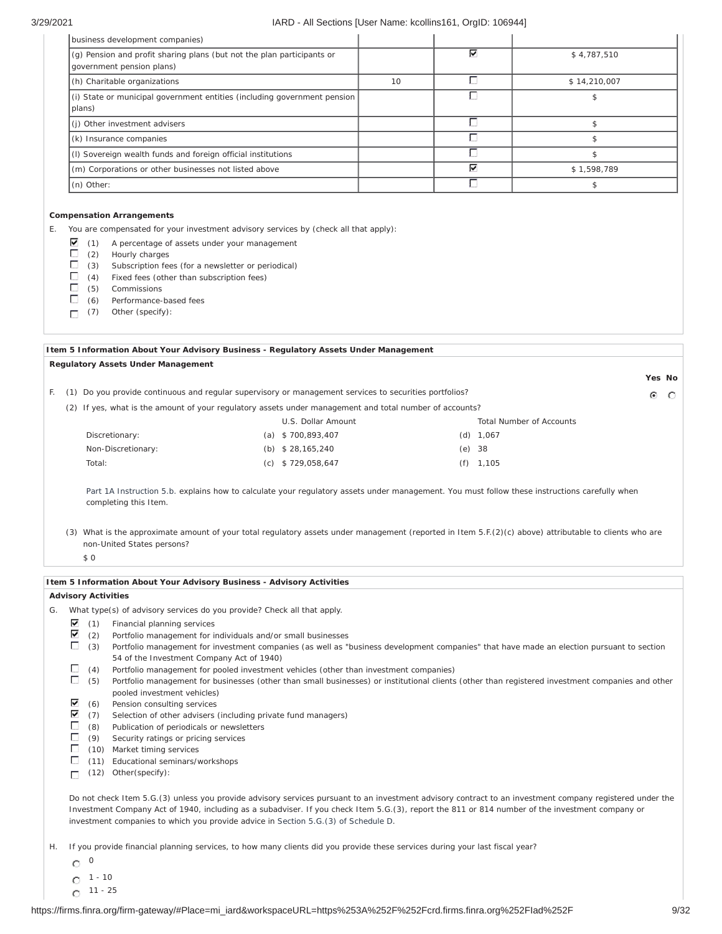| business development companies)                                                                     |    |   |              |
|-----------------------------------------------------------------------------------------------------|----|---|--------------|
| (g) Pension and profit sharing plans (but not the plan participants or<br>government pension plans) |    | ⊽ | \$4,787,510  |
| (h) Charitable organizations                                                                        | 10 |   | \$14,210,007 |
| (i) State or municipal <i>government entities</i> (including government pension<br>plans)           |    |   |              |
| (i) Other investment advisers                                                                       |    |   |              |
| (k) Insurance companies                                                                             |    |   |              |
| (I) Sovereign wealth funds and foreign official institutions                                        |    |   |              |
| (m) Corporations or other businesses not listed above                                               |    | ⊽ | \$1,598,789  |
| (n) Other:                                                                                          |    |   |              |

# **Compensation Arrangements**

E. You are compensated for your investment advisory services by (check all that apply):

- $\triangledown$  (1) A percentage of assets under your management
- $\Box$ (2) Hourly charges
- $\Box$ (3) Subscription fees (for a newsletter or periodical)
- $\Box$ (4) Fixed fees (other than subscription fees)
- $\Box$ (5) Commissions
- (6) *Performance-based fees*
- (7) Other (specify):

|    |                                           | I tem 5 Information About Your Advisory Business - Regulatory Assets Under Management                   |                                                                                                                                               |                 |
|----|-------------------------------------------|---------------------------------------------------------------------------------------------------------|-----------------------------------------------------------------------------------------------------------------------------------------------|-----------------|
|    | <b>Regulatory Assets Under Management</b> |                                                                                                         |                                                                                                                                               |                 |
|    |                                           |                                                                                                         |                                                                                                                                               | Yes No          |
| F. | (1)                                       | Do you provide continuous and regular supervisory or management services to securities portfolios?      |                                                                                                                                               | $\circ$ $\circ$ |
|    |                                           | (2) If yes, what is the amount of your regulatory assets under management and total number of accounts? |                                                                                                                                               |                 |
|    |                                           | U.S. Dollar Amount                                                                                      | <b>Total Number of Accounts</b>                                                                                                               |                 |
|    | Discretionary:                            | \$700.893.407<br>(a)                                                                                    | $(d)$ 1,067                                                                                                                                   |                 |
|    | Non-Discretionary:                        | \$28,165,240<br>(b)                                                                                     | 38<br>(e)                                                                                                                                     |                 |
|    | Total:                                    | \$729.058.647<br>(c)                                                                                    | 1,105<br>(f)                                                                                                                                  |                 |
|    |                                           |                                                                                                         |                                                                                                                                               |                 |
|    |                                           |                                                                                                         | Part 1A Instruction 5.b. explains how to calculate your regulatory assets under management. You must follow these instructions carefully when |                 |
|    | completing this Item.                     |                                                                                                         |                                                                                                                                               |                 |

- (3) What is the approximate amount of your total regulatory assets under management (reported in Item 5.F.(2)(c) above) attributable to *clients* who are non-*United States persons*?
	- \$ 0

### **Item 5 Information About Your Advisory Business - Advisory Activities**

# **Advisory Activities**

- G. What type(s) of advisory services do you provide? Check all that apply.
	- (1) Financial planning services
	- ⊽
	- $\overline{\mathbf{C}}$  (2) Portfolio management for individuals and/or small businesses  $\Box$  (3) Portfolio management for investment companies (as well as "t Portfolio management for investment companies (as well as "business development companies" that have made an election pursuant to section 54 of the Investment Company Act of 1940)
	- $\Box$  (4) Portfolio management for pooled investment vehicles (other than investment companies)
	- (5) Portfolio management for businesses (other than small businesses) or institutional *clients* (other than registered investment companies and other pooled investment vehicles)
	- ☑ (6) Pension consulting services
	- ⊽ (7) Selection of other advisers (including *private fund* managers)
	- $\Box$ (8) Publication of periodicals or newsletters
	- $\Box$ (9) Security ratings or pricing services
	- $\Box$ (10) Market timing services
	- $\Box$  (11) Educational seminars/workshops
	- (12) Other(specify):

*Do not check Item 5.G.(3) unless you provide advisory services pursuant to an investment advisory contract to an investment company registered under the Investment Company Act of 1940, including as a subadviser. If you check Item 5.G.(3), report the 811 or 814 number of the investment company or investment companies to which you provide advice in Section 5.G.(3) of Schedule D.* 

H. If you provide financial planning services, to how many *clients* did you provide these services during your last fiscal year?

- $0<sup>0</sup>$
- $0^{-1 10}$
- $0^{-11 25}$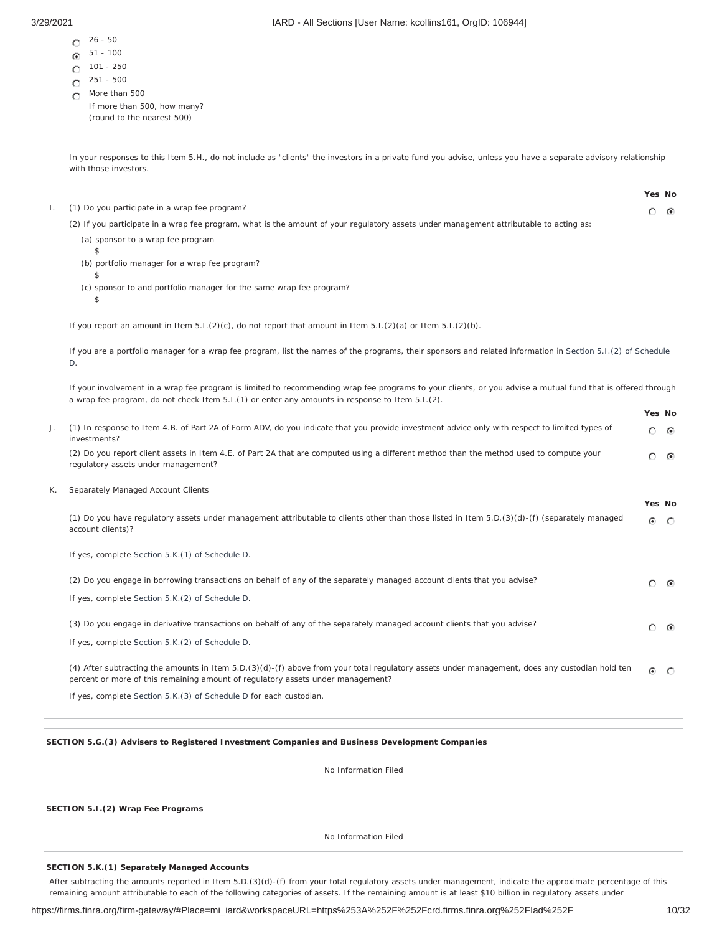- $C^{-26 50}$
- $\circ$  51 100
- 101 250  $\circ$
- 251 500  $\circ$
- More than 500  $\circ$
- If more than 500, how many? (round to the nearest 500)

*In your responses to this Item 5.H., do not include as "clients" the investors in a private fund you advise, unless you have a separate advisory relationship with those investors.* 

**Yes No** I. (1) Do you participate in a *wrap fee program*?  $\circ$  $\odot$ (2) If you participate in a *wrap fee program*, what is the amount of your regulatory assets under management attributable to acting as: (a) *sponsor* to a *wrap fee program* \$ (b) portfolio manager for a *wrap fee program*? \$ (c) *sponsor* to and portfolio manager for the same *wrap fee program*? \$ *If you report an amount in Item 5.I.(2)(c), do not report that amount in Item 5.I.(2)(a) or Item 5.I.(2)(b). If you are a portfolio manager for a wrap fee program, list the names of the programs, their sponsors and related information in Section 5.I.(2) of Schedule D. If your involvement in a wrap fee program is limited to recommending wrap fee programs to your clients, or you advise a mutual fund that is offered through a wrap fee program, do not check Item 5.I.(1) or enter any amounts in response to Item 5.I.(2).*  **Yes No** J. (1) In response to Item 4.B. of Part 2A of Form ADV, do you indicate that you provide investment advice only with respect to limited types of  $\circ$  $\odot$ investments? (2) Do you report *client* assets in Item 4.E. of Part 2A that are computed using a different method than the method used to compute your  $\cap$   $\circ$ regulatory assets under management? K. Separately Managed Account *Clients* **Yes No** (1) Do you have regulatory assets under management attributable to *clients* other than those listed in Item 5.D.(3)(d)-(f) (separately managed  $\odot$  $\sim$  0 account *clients*)? *If yes, complete Section 5.K.(1) of Schedule D.* (2) Do you engage in borrowing transactions on behalf of any of the separately managed account *clients* that you advise?  $\bigcap$ - 61 *If yes, complete Section 5.K.(2) of Schedule D.* (3) Do you engage in derivative transactions on behalf of any of the separately managed account *clients* that you advise?  $\Gamma$ G *If yes, complete Section 5.K.(2) of Schedule D.* (4) After subtracting the amounts in Item 5.D.(3)(d)-(f) above from your total regulatory assets under management, does any custodian hold ten  $\omega$ - 0 percent or more of this remaining amount of regulatory assets under management? *If yes, complete Section 5.K.(3) of Schedule D for each custodian.*

**SECTION 5.G.(3) Advisers to Registered Investment Companies and Business Development Companies**

No Information Filed

**SECTION 5.I.(2)** *Wrap Fee Programs*

No Information Filed

#### **SECTION 5.K.(1) Separately Managed Accounts**

After subtracting the amounts reported in Item 5.D.(3)(d)-(f) from your total regulatory assets under management, indicate the approximate percentage of this remaining amount attributable to each of the following categories of assets. If the remaining amount is at least \$10 billion in regulatory assets under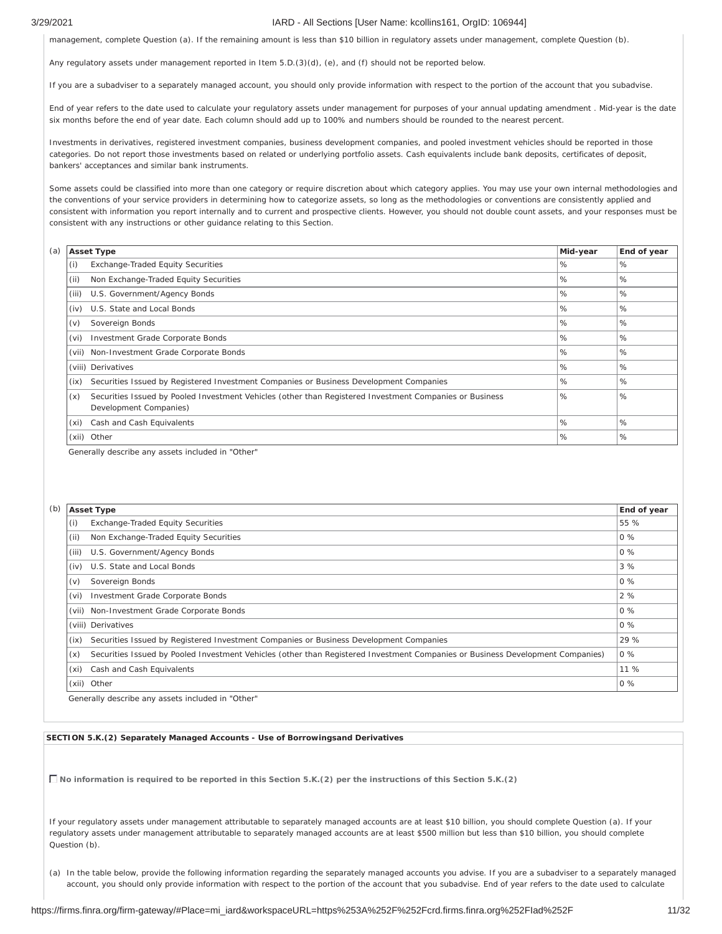management, complete Question (a). If the remaining amount is less than \$10 billion in regulatory assets under management, complete Question (b).

Any regulatory assets under management reported in Item 5.D.(3)(d), (e), and (f) should not be reported below.

If you are a subadviser to a separately managed account, you should only provide information with respect to the portion of the account that you subadvise.

End of year refers to the date used to calculate your regulatory assets under management for purposes of your *annual updating amendment* . Mid-year is the date six months before the end of year date. Each column should add up to 100% and numbers should be rounded to the nearest percent.

Investments in derivatives, registered investment companies, business development companies, and pooled investment vehicles should be reported in those categories. Do not report those investments based on related or underlying portfolio assets. Cash equivalents include bank deposits, certificates of deposit, bankers' acceptances and similar bank instruments.

Some assets could be classified into more than one category or require discretion about which category applies. You may use your own internal methodologies and the conventions of your service providers in determining how to categorize assets, so long as the methodologies or conventions are consistently applied and consistent with information you report internally and to current and prospective clients. However, you should not double count assets, and your responses must be consistent with any instructions or other guidance relating to this Section.

| (a)   | <b>Asset Type</b>                                                                                                                 | Mid-year | End of year |
|-------|-----------------------------------------------------------------------------------------------------------------------------------|----------|-------------|
| (i)   | <b>Exchange-Traded Equity Securities</b><br>%                                                                                     |          | %           |
| (ii)  | Non Exchange-Traded Equity Securities                                                                                             |          | %           |
| (iii) | U.S. Government/Agency Bonds                                                                                                      | %        | %           |
| (iv)  | U.S. State and Local Bonds                                                                                                        | %        | %           |
| (v)   | Sovereign Bonds                                                                                                                   | %        | %           |
| (vi)  | Investment Grade Corporate Bonds                                                                                                  | %        | %           |
| (vii) | Non-Investment Grade Corporate Bonds                                                                                              | %        | %           |
|       | (viii) Derivatives                                                                                                                | %        | %           |
| (ix   | Securities Issued by Registered Investment Companies or Business Development Companies                                            | %        | %           |
| (x)   | Securities Issued by Pooled Investment Vehicles (other than Registered Investment Companies or Business<br>Development Companies) | %        | %           |
| (xi)  | Cash and Cash Equivalents                                                                                                         | %        | %           |
| (xii) | Other                                                                                                                             | %        | %           |

Generally describe any assets included in "Other"

|       | <b>Asset Type</b>                                                                                                              | End of year |
|-------|--------------------------------------------------------------------------------------------------------------------------------|-------------|
| (i)   | <b>Exchange-Traded Equity Securities</b>                                                                                       | 55 %        |
| (ii)  | Non Exchange-Traded Equity Securities                                                                                          |             |
| (iii) | U.S. Government/Agency Bonds                                                                                                   | $0\%$       |
| (iv)  | U.S. State and Local Bonds                                                                                                     | 3%          |
| (v)   | Sovereign Bonds                                                                                                                | $0\%$       |
| (vi)  | Investment Grade Corporate Bonds                                                                                               | 2%          |
| (vii) | Non-Investment Grade Corporate Bonds                                                                                           | $0\%$       |
|       | (viii) Derivatives                                                                                                             | 0%          |
| (ix)  | Securities Issued by Registered Investment Companies or Business Development Companies                                         | 29 %        |
| (x)   | Securities Issued by Pooled Investment Vehicles (other than Registered Investment Companies or Business Development Companies) | $0\%$       |
| (xi)  | Cash and Cash Equivalents                                                                                                      | 11 %        |
|       | (xii) Other                                                                                                                    | $0\%$       |
|       | Concrelly describe any consta included in "Other"                                                                              |             |

Generally describe any assets included in "Other

#### **SECTION 5.K.(2) Separately Managed Accounts - Use of** *Borrowings***and Derivatives**

**No information is required to be reported in this Section 5.K.(2) per the instructions of this Section 5.K.(2)**

If your regulatory assets under management attributable to separately managed accounts are at least \$10 billion, you should complete Question (a). If your regulatory assets under management attributable to separately managed accounts are at least \$500 million but less than \$10 billion, you should complete Question (b).

(a) In the table below, provide the following information regarding the separately managed accounts you advise. If you are a subadviser to a separately managed account, you should only provide information with respect to the portion of the account that you subadvise. End of year refers to the date used to calculate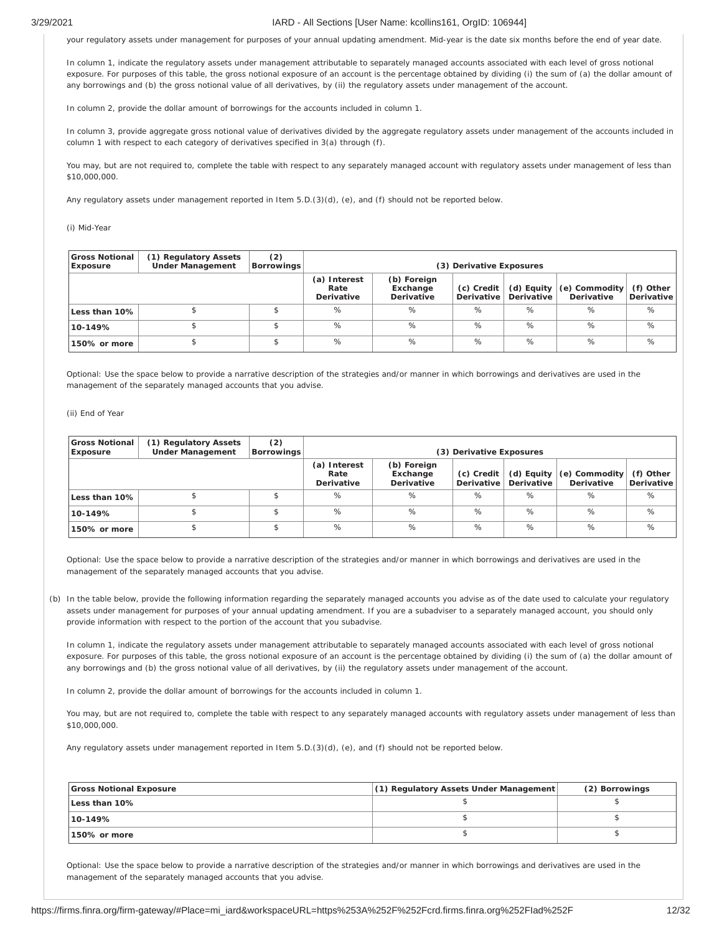your regulatory assets under management for purposes of your *annual updating amendment*. Mid-year is the date six months before the end of year date.

In column 1, indicate the regulatory assets under management attributable to separately managed accounts associated with each level of gross notional exposure. For purposes of this table, the gross notional exposure of an account is the percentage obtained by dividing (i) the sum of (a) the dollar amount of any *borrowings* and (b) the *gross notional value* of all derivatives, by (ii) the regulatory assets under management of the account.

In column 2, provide the dollar amount of *borrowings* for the accounts included in column 1.

In column 3, provide aggregate *gross notional value* of derivatives divided by the aggregate regulatory assets under management of the accounts included in column 1 with respect to each category of derivatives specified in 3(a) through (f).

You may, but are not required to, complete the table with respect to any separately managed account with requlatory assets under management of less than \$10,000,000.

Any regulatory assets under management reported in Item 5.D.(3)(d), (e), and (f) should not be reported below.

(i) Mid-Year

| <b>Gross Notional</b><br>Exposure | (1) Regulatory Assets<br><b>Under Management</b> | (2)<br><b>Borrowings</b> |                                           |                                       | (3) Derivative Exposures   |            |                                                   |                               |
|-----------------------------------|--------------------------------------------------|--------------------------|-------------------------------------------|---------------------------------------|----------------------------|------------|---------------------------------------------------|-------------------------------|
|                                   |                                                  |                          | (a) Interest<br>Rate<br><b>Derivative</b> | (b) Foreign<br>Exchange<br>Derivative | $(c)$ Credit<br>Derivative | Derivative | (d) Equity $ $ (e) Commodity<br><b>Derivative</b> | $(f)$ Other $ $<br>Derivative |
| Less than 10%                     |                                                  |                          | %                                         | %                                     | %                          | %          | %                                                 | %                             |
| 10-149%                           |                                                  |                          | $\%$                                      | %                                     | $\%$                       | $\%$       | $\%$                                              | %                             |
| 150% or more                      |                                                  |                          | %                                         | %                                     | %                          | $\%$       | %                                                 | %                             |

 Optional: Use the space below to provide a narrative description of the strategies and/or manner in which *borrowings* and derivatives are used in the management of the separately managed accounts that you advise.

(ii) End of Year

| <b>Gross Notional</b><br>Exposure | (1) Regulatory Assets<br><b>Under Management</b> | (2)<br>Borrowings |                                    |                                       | (3) Derivative Exposures   |            |                                            |                           |
|-----------------------------------|--------------------------------------------------|-------------------|------------------------------------|---------------------------------------|----------------------------|------------|--------------------------------------------|---------------------------|
|                                   |                                                  |                   | (a) Interest<br>Rate<br>Derivative | (b) Foreign<br>Exchange<br>Derivative | $(c)$ Credit<br>Derivative | Derivative | (d) $Equity$   (e) Commodity<br>Derivative | $(f)$ Other<br>Derivative |
| Less than 10%                     |                                                  |                   | %                                  | %                                     | %                          | $\%$       | %                                          | %                         |
| 10-149%                           |                                                  |                   | %                                  | %                                     | %                          | $\%$       | %                                          | %                         |
| 150% or more                      |                                                  |                   | %                                  | %                                     | %                          | %          | %                                          | %                         |

 Optional: Use the space below to provide a narrative description of the strategies and/or manner in which *borrowings* and derivatives are used in the management of the separately managed accounts that you advise.

(b) In the table below, provide the following information regarding the separately managed accounts you advise as of the date used to calculate your regulatory assets under management for purposes of your *annual updating amendment*. If you are a subadviser to a separately managed account, you should only provide information with respect to the portion of the account that you subadvise.

In column 1, indicate the regulatory assets under management attributable to separately managed accounts associated with each level of gross notional exposure. For purposes of this table, the gross notional exposure of an account is the percentage obtained by dividing (i) the sum of (a) the dollar amount of any *borrowings* and (b) the *gross notional value* of all derivatives, by (ii) the regulatory assets under management of the account.

In column 2, provide the dollar amount of *borrowings* for the accounts included in column 1.

You may, but are not required to, complete the table with respect to any separately managed accounts with regulatory assets under management of less than \$10,000,000.

Any regulatory assets under management reported in Item 5.D.(3)(d), (e), and (f) should not be reported below.

| <b>Gross Notional Exposure</b> | (1) Regulatory Assets Under Management | (2) Borrowings |
|--------------------------------|----------------------------------------|----------------|
| Less than 10%                  |                                        |                |
| 10-149%                        |                                        |                |
| 150% or more                   |                                        |                |

 Optional: Use the space below to provide a narrative description of the strategies and/or manner in which *borrowings* and derivatives are used in the management of the separately managed accounts that you advise.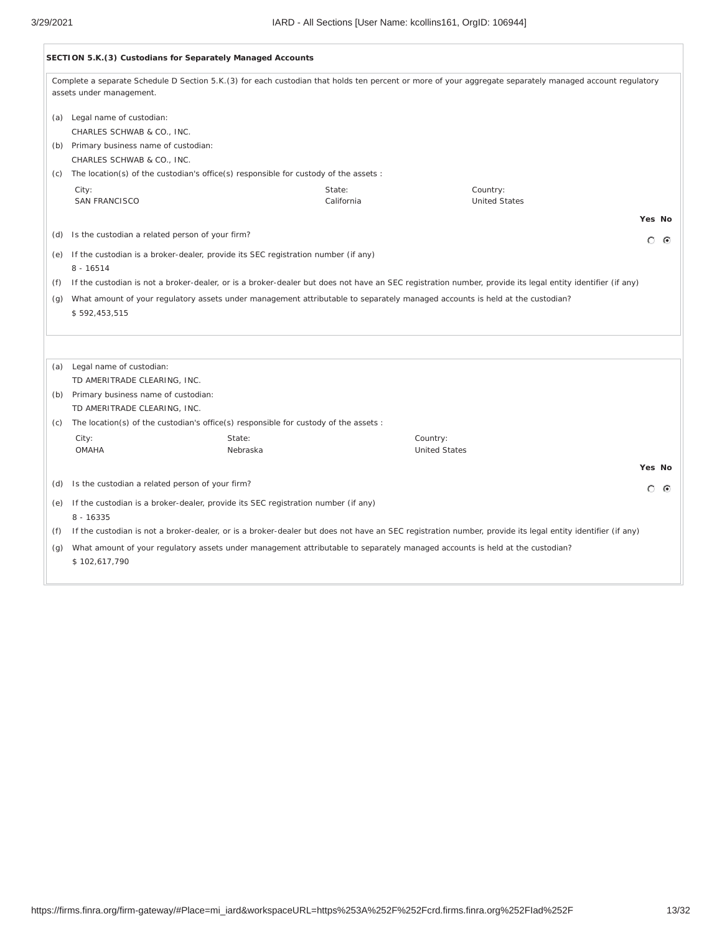Ē

|                                                                                                                                                                          | SECTION 5.K.(3) Custodians for Separately Managed Accounts                                                                       |          |            |                                                                                                                                                           |           |  |  |
|--------------------------------------------------------------------------------------------------------------------------------------------------------------------------|----------------------------------------------------------------------------------------------------------------------------------|----------|------------|-----------------------------------------------------------------------------------------------------------------------------------------------------------|-----------|--|--|
|                                                                                                                                                                          | assets under management.                                                                                                         |          |            | Complete a separate Schedule D Section 5.K.(3) for each custodian that holds ten percent or more of your aggregate separately managed account regulatory  |           |  |  |
|                                                                                                                                                                          | (a) Legal name of custodian:                                                                                                     |          |            |                                                                                                                                                           |           |  |  |
|                                                                                                                                                                          | CHARLES SCHWAB & CO., INC.                                                                                                       |          |            |                                                                                                                                                           |           |  |  |
|                                                                                                                                                                          | (b) Primary business name of custodian:                                                                                          |          |            |                                                                                                                                                           |           |  |  |
|                                                                                                                                                                          | CHARLES SCHWAB & CO., INC.                                                                                                       |          |            |                                                                                                                                                           |           |  |  |
|                                                                                                                                                                          | (c) The location(s) of the custodian's office(s) responsible for <i>custody</i> of the assets :                                  |          |            |                                                                                                                                                           |           |  |  |
|                                                                                                                                                                          | City:                                                                                                                            |          | State:     | Country:                                                                                                                                                  |           |  |  |
|                                                                                                                                                                          | <b>SAN FRANCISCO</b>                                                                                                             |          | California | <b>United States</b>                                                                                                                                      |           |  |  |
|                                                                                                                                                                          |                                                                                                                                  |          |            |                                                                                                                                                           | Yes No    |  |  |
|                                                                                                                                                                          | (d) Is the custodian a related person of your firm?                                                                              |          |            |                                                                                                                                                           | റൈ        |  |  |
|                                                                                                                                                                          |                                                                                                                                  |          |            |                                                                                                                                                           |           |  |  |
| (e) If the custodian is a broker-dealer, provide its SEC registration number (if any)                                                                                    |                                                                                                                                  |          |            |                                                                                                                                                           |           |  |  |
| $8 - 16514$<br>If the custodian is not a broker-dealer, or is a broker-dealer but does not have an SEC registration number, provide its legal entity identifier (if any) |                                                                                                                                  |          |            |                                                                                                                                                           |           |  |  |
| (f)                                                                                                                                                                      |                                                                                                                                  |          |            |                                                                                                                                                           |           |  |  |
|                                                                                                                                                                          | (g) What amount of your regulatory assets under management attributable to separately managed accounts is held at the custodian? |          |            |                                                                                                                                                           |           |  |  |
|                                                                                                                                                                          | \$592,453,515                                                                                                                    |          |            |                                                                                                                                                           |           |  |  |
|                                                                                                                                                                          |                                                                                                                                  |          |            |                                                                                                                                                           |           |  |  |
|                                                                                                                                                                          |                                                                                                                                  |          |            |                                                                                                                                                           |           |  |  |
|                                                                                                                                                                          | (a) Legal name of custodian:                                                                                                     |          |            |                                                                                                                                                           |           |  |  |
|                                                                                                                                                                          | TD AMERITRADE CLEARING, INC.                                                                                                     |          |            |                                                                                                                                                           |           |  |  |
|                                                                                                                                                                          | (b) Primary business name of custodian:                                                                                          |          |            |                                                                                                                                                           |           |  |  |
|                                                                                                                                                                          | TD AMERITRADE CLEARING, INC.                                                                                                     |          |            |                                                                                                                                                           |           |  |  |
| (c)                                                                                                                                                                      | The location(s) of the custodian's office(s) responsible for <i>custody</i> of the assets :                                      |          |            |                                                                                                                                                           |           |  |  |
|                                                                                                                                                                          | City:                                                                                                                            | State:   |            | Country:                                                                                                                                                  |           |  |  |
|                                                                                                                                                                          | <b>OMAHA</b>                                                                                                                     | Nebraska |            | <b>United States</b>                                                                                                                                      |           |  |  |
|                                                                                                                                                                          |                                                                                                                                  |          |            |                                                                                                                                                           | Yes No    |  |  |
|                                                                                                                                                                          | (d) Is the custodian a related person of your firm?                                                                              |          |            |                                                                                                                                                           | O.<br>- 0 |  |  |
| (e)                                                                                                                                                                      | If the custodian is a broker-dealer, provide its SEC registration number (if any)                                                |          |            |                                                                                                                                                           |           |  |  |
|                                                                                                                                                                          | $8 - 16335$                                                                                                                      |          |            |                                                                                                                                                           |           |  |  |
| (f)                                                                                                                                                                      |                                                                                                                                  |          |            | If the custodian is not a broker-dealer, or is a broker-dealer but does not have an SEC registration number, provide its legal entity identifier (if any) |           |  |  |
| (g)                                                                                                                                                                      |                                                                                                                                  |          |            | What amount of your regulatory assets under management attributable to separately managed accounts is held at the custodian?                              |           |  |  |
|                                                                                                                                                                          | \$102,617,790                                                                                                                    |          |            |                                                                                                                                                           |           |  |  |
|                                                                                                                                                                          |                                                                                                                                  |          |            |                                                                                                                                                           |           |  |  |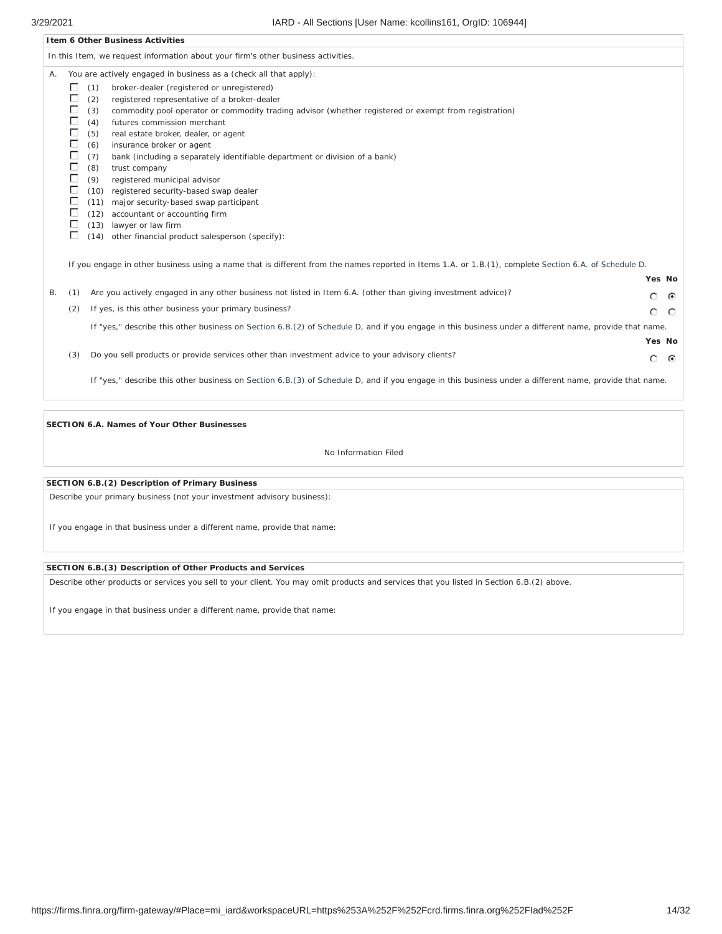|    |                                            | I tem 6 Other Business Activities                                                                                                                                                                                                                                                                                                                                                                                                                                                                      |    |        |
|----|--------------------------------------------|--------------------------------------------------------------------------------------------------------------------------------------------------------------------------------------------------------------------------------------------------------------------------------------------------------------------------------------------------------------------------------------------------------------------------------------------------------------------------------------------------------|----|--------|
|    |                                            | In this Item, we request information about your firm's other business activities.                                                                                                                                                                                                                                                                                                                                                                                                                      |    |        |
| А. |                                            | You are actively engaged in business as a (check all that apply):                                                                                                                                                                                                                                                                                                                                                                                                                                      |    |        |
|    | C.<br>П<br>г<br>П<br>П<br>Е<br>П<br>П<br>П | (1)<br>broker-dealer (registered or unregistered)<br>(2)<br>registered representative of a broker-dealer<br>(3)<br>commodity pool operator or commodity trading advisor (whether registered or exempt from registration)<br>(4)<br>futures commission merchant<br>(5)<br>real estate broker, dealer, or agent<br>(6)<br>insurance broker or agent<br>(7)<br>bank (including a separately identifiable department or division of a bank)<br>(8)<br>trust company<br>(9)<br>registered municipal advisor |    |        |
|    | Г<br>Г<br>г<br>Ð<br>п                      | (10) registered security-based swap dealer<br>major security-based swap participant<br>(11)<br>accountant or accounting firm<br>(12)<br>lawyer or law firm<br>(13)<br>(14)<br>other financial product salesperson (specify):<br>If you engage in other business using a name that is different from the names reported in Items 1.A. or 1.B. (1), complete Section 6.A. of Schedule D.                                                                                                                 |    |        |
|    |                                            |                                                                                                                                                                                                                                                                                                                                                                                                                                                                                                        |    | Yes No |
| В. | (1)                                        | Are you actively engaged in any other business not listed in Item 6.A. (other than giving investment advice)?                                                                                                                                                                                                                                                                                                                                                                                          | О  | -6     |
|    | (2)                                        | If yes, is this other business your primary business?                                                                                                                                                                                                                                                                                                                                                                                                                                                  | O. | - 0    |
|    |                                            | If "yes," describe this other business on Section 6.B. (2) of Schedule D, and if you engage in this business under a different name, provide that name.                                                                                                                                                                                                                                                                                                                                                |    |        |
|    |                                            |                                                                                                                                                                                                                                                                                                                                                                                                                                                                                                        |    | Yes No |
|    | (3)                                        | Do you sell products or provide services other than investment advice to your advisory clients?                                                                                                                                                                                                                                                                                                                                                                                                        | O  | - 61   |
|    |                                            | If "ves," describe this other business on Section 6.B. (3) of Schedule D, and if you engage in this business under a different name, provide that name.                                                                                                                                                                                                                                                                                                                                                |    |        |

**SECTION 6.A. Names of Your Other Businesses**

#### No Information Filed

#### **SECTION 6.B.(2) Description of Primary Business**

Describe your primary business (not your investment advisory business):

If you engage in that business under a different name, provide that name:

#### **SECTION 6.B.(3) Description of Other Products and Services**

Describe other products or services you sell to your *client*. You may omit products and services that you listed in Section 6.B.(2) above.

If you engage in that business under a different name, provide that name: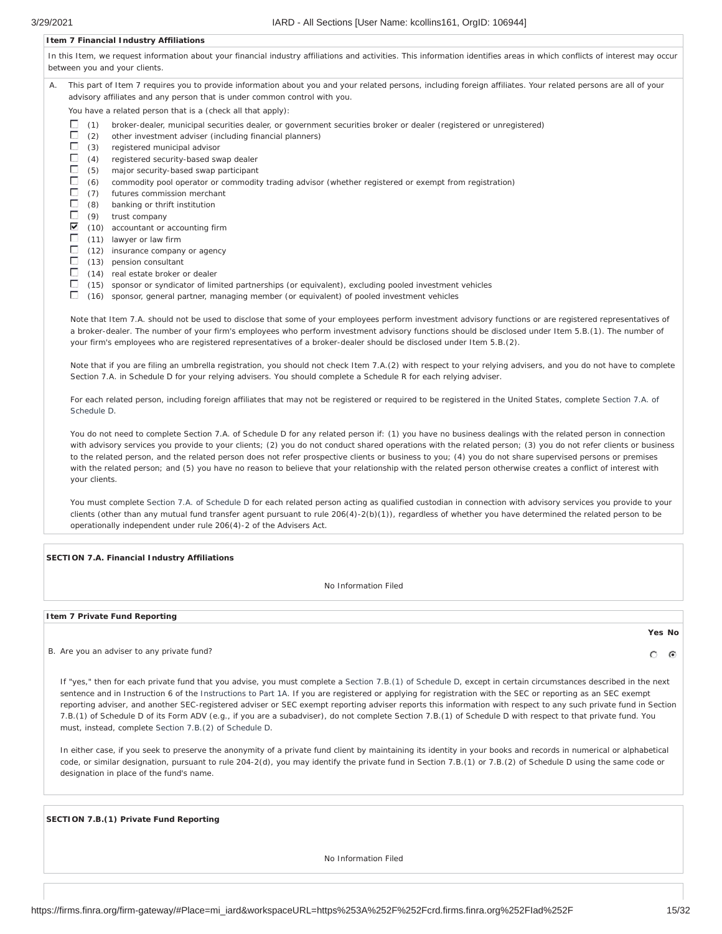#### **Item 7 Financial Industry Affiliations**

In this Item, we request information about your financial industry affiliations and activities. This information identifies areas in which conflicts of interest may occur between you and your *clients*.

A. This part of Item 7 requires you to provide information about you and your *related persons*, including foreign affiliates. Your *related persons* are all of your *advisory affiliates* and any *person* that is under common *control* with you.

You have a *related person* that is a (check all that apply):

- $\Box$  (1) broker-dealer, municipal securities dealer, or government securities broker or dealer (registered or unregistered)
- $\Box$ (2) other investment adviser (including financial planners)
- O (3) registered municipal advisor
- Г (4) registered security-based swap dealer
- $\Box$ (5) major security-based swap participant
- П (6) commodity pool operator or commodity trading advisor (whether registered or exempt from registration)
- Г (7) futures commission merchant
- г (8) banking or thrift institution
- Г (9) trust company
- ⊽ (10) accountant or accounting firm
- П (11) lawyer or law firm
- г (12) insurance company or agency
- г (13) pension consultant
- г (14) real estate broker or dealer
- $\Box$ (15) sponsor or syndicator of limited partnerships (or equivalent), excluding pooled investment vehicles
- m. (16) sponsor, general partner, managing member (or equivalent) of pooled investment vehicles

*Note that Item 7.A. should not be used to disclose that some of your employees perform investment advisory functions or are registered representatives of a broker-dealer. The number of your firm's employees who perform investment advisory functions should be disclosed under Item 5.B.(1). The number of your firm's employees who are registered representatives of a broker-dealer should be disclosed under Item 5.B.(2).* 

*Note that if you are filing an umbrella registration, you should not check Item 7.A.(2) with respect to your relying advisers, and you do not have to complete Section 7.A. in Schedule D for your relying advisers. You should complete a Schedule R for each relying adviser.* 

*For each related person, including foreign affiliates that may not be registered or required to be registered in the United States, complete Section 7.A. of Schedule D.* 

*You do not need to complete Section 7.A. of Schedule D for any related person if: (1) you have no business dealings with the related person in connection with advisory services you provide to your clients; (2) you do not conduct shared operations with the related person; (3) you do not refer clients or business to the related person, and the related person does not refer prospective clients or business to you; (4) you do not share supervised persons or premises with the related person; and (5) you have no reason to believe that your relationship with the related person otherwise creates a conflict of interest with your clients.* 

*You must complete Section 7.A. of Schedule D for each related person acting as qualified custodian in connection with advisory services you provide to your clients (other than any mutual fund transfer agent pursuant to rule 206(4)-2(b)(1)), regardless of whether you have determined the related person to be operationally independent under rule 206(4)-2 of the Advisers Act.*

#### **SECTION 7.A. Financial Industry Affiliations**

No Information Filed

#### **Item 7** *Private Fund* **Reporting**

B. Are you an adviser to any *private fund*?

*If "yes," then for each private fund that you advise, you must complete a Section 7.B.(1) of Schedule D, except in certain circumstances described in the next sentence and in Instruction 6 of the Instructions to Part 1A. If you are registered or applying for registration with the SEC or reporting as an SEC exempt reporting adviser, and another SEC-registered adviser or SEC exempt reporting adviser reports this information with respect to any such private fund in Section 7.B.(1) of Schedule D of its Form ADV (e.g., if you are a subadviser), do not complete Section 7.B.(1) of Schedule D with respect to that private fund. You must, instead, complete Section 7.B.(2) of Schedule D.* 

*In either case, if you seek to preserve the anonymity of a private fund client by maintaining its identity in your books and records in numerical or alphabetical code, or similar designation, pursuant to rule 204-2(d), you may identify the private fund in Section 7.B.(1) or 7.B.(2) of Schedule D using the same code or designation in place of the fund's name.* 

#### **SECTION 7.B.(1)** *Private Fund* **Reporting**

No Information Filed

# **Yes No**

# $O$   $\odot$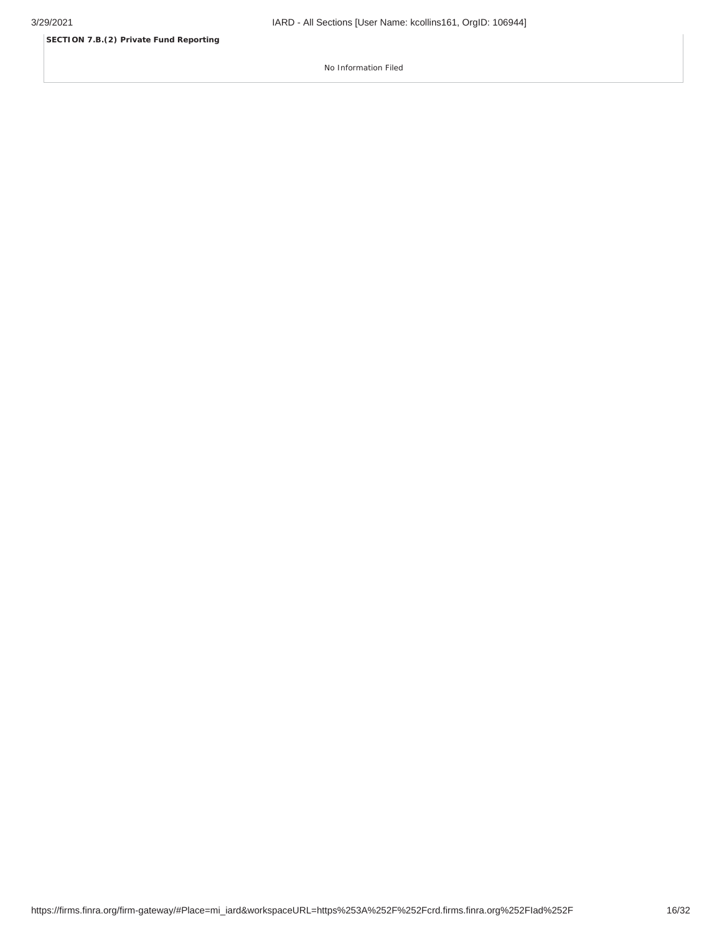**SECTION 7.B.(2)** *Private Fund* **Reporting**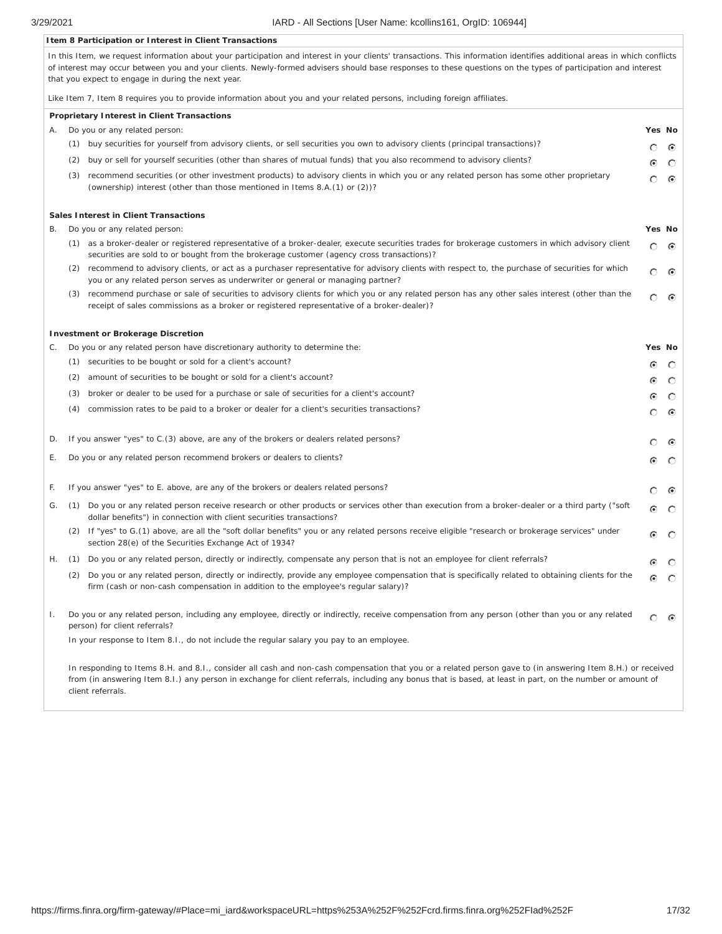|    |     | I tem 8 Participation or Interest in <i>Client</i> Transactions                                                                                                                                                                                                                                                                                                                                  |    |         |
|----|-----|--------------------------------------------------------------------------------------------------------------------------------------------------------------------------------------------------------------------------------------------------------------------------------------------------------------------------------------------------------------------------------------------------|----|---------|
|    |     | In this Item, we request information about your participation and interest in your clients' transactions. This information identifies additional areas in which conflicts<br>of interest may occur between you and your clients. Newly-formed advisers should base responses to these questions on the types of participation and interest<br>that you expect to engage in during the next year. |    |         |
|    |     | Like Item 7, Item 8 requires you to provide information about you and your <i>related persons</i> , including foreign affiliates.                                                                                                                                                                                                                                                                |    |         |
|    |     | <b>Proprietary Interest in Client Transactions</b>                                                                                                                                                                                                                                                                                                                                               |    |         |
| А. |     | Do you or any related person:                                                                                                                                                                                                                                                                                                                                                                    |    | Yes No  |
|    |     | (1) buy securities for yourself from advisory <i>clients</i> , or sell securities you own to advisory <i>clients</i> (principal transactions)?                                                                                                                                                                                                                                                   | о  | ⊛       |
|    | (2) | buy or sell for yourself securities (other than shares of mutual funds) that you also recommend to advisory clients?                                                                                                                                                                                                                                                                             | ⊙  | $\circ$ |
|    | (3) | recommend securities (or other investment products) to advisory clients in which you or any related person has some other proprietary<br>(ownership) interest (other than those mentioned in Items 8.A. (1) or (2))?                                                                                                                                                                             | O. | ⊙       |
|    |     | Sales Interest in Client Transactions                                                                                                                                                                                                                                                                                                                                                            |    |         |
| В. |     | Do you or any related person:                                                                                                                                                                                                                                                                                                                                                                    |    | Yes No  |
|    |     | (1) as a broker-dealer or registered representative of a broker-dealer, execute securities trades for brokerage customers in which advisory client<br>securities are sold to or bought from the brokerage customer (agency cross transactions)?                                                                                                                                                  | 0. | ⊛       |
|    |     | (2) recommend to advisory clients, or act as a purchaser representative for advisory clients with respect to, the purchase of securities for which<br>you or any related person serves as underwriter or general or managing partner?                                                                                                                                                            | O. | ⊛       |
|    |     | (3) recommend purchase or sale of securities to advisory clients for which you or any related person has any other sales interest (other than the<br>receipt of sales commissions as a broker or registered representative of a broker-dealer)?                                                                                                                                                  | O. | - ©     |
|    |     | <b>Investment or Brokerage Discretion</b>                                                                                                                                                                                                                                                                                                                                                        |    |         |
|    |     | Do you or any related person have discretionary authority to determine the:                                                                                                                                                                                                                                                                                                                      |    | Yes No  |
|    |     | (1) securities to be bought or sold for a <i>client's</i> account?                                                                                                                                                                                                                                                                                                                               | ⊙  | O       |
|    | (2) | amount of securities to be bought or sold for a <i>client's</i> account?                                                                                                                                                                                                                                                                                                                         | ⊛  | O       |
|    | (3) | broker or dealer to be used for a purchase or sale of securities for a <i>client's</i> account?                                                                                                                                                                                                                                                                                                  | ⊙  | $\circ$ |
|    | (4) | commission rates to be paid to a broker or dealer for a <i>client's</i> securities transactions?                                                                                                                                                                                                                                                                                                 | о  | ⊙       |
| D. |     | If you answer "yes" to C.(3) above, are any of the brokers or dealers related persons?                                                                                                                                                                                                                                                                                                           | о  | ⊛       |
| Ε. |     | Do you or any related person recommend brokers or dealers to clients?                                                                                                                                                                                                                                                                                                                            | ⊙  | O       |
| F. |     | If you answer "yes" to E. above, are any of the brokers or dealers related persons?                                                                                                                                                                                                                                                                                                              | O. | ⊛       |
| G. |     | (1) Do you or any related person receive research or other products or services other than execution from a broker-dealer or a third party ("soft<br>dollar benefits") in connection with <i>client</i> securities transactions?                                                                                                                                                                 | ⊙  | - 0     |
|    |     | (2) If "yes" to G. (1) above, are all the "soft dollar benefits" you or any related persons receive eligible "research or brokerage services" under<br>section 28(e) of the Securities Exchange Act of 1934?                                                                                                                                                                                     | ⊙  | -0      |
| Η. |     | (1) Do you or any related person, directly or indirectly, compensate any person that is not an employee for client referrals?                                                                                                                                                                                                                                                                    | ⊙  | - 0     |
|    |     | (2) Do you or any related person, directly or indirectly, provide any employee compensation that is specifically related to obtaining clients for the<br>firm (cash or non-cash compensation in addition to the <i>employee's</i> regular salary)?                                                                                                                                               | ⊙  | $\circ$ |
| Ι. |     | Do you or any related person, including any employee, directly or indirectly, receive compensation from any person (other than you or any related<br>person) for client referrals?                                                                                                                                                                                                               | О  | ⊛       |
|    |     | In your response to Item 8.1., do not include the regular salary you pay to an employee.                                                                                                                                                                                                                                                                                                         |    |         |
|    |     | In responding to Items 8.H. and 8.I., consider all cash and non-cash compensation that you or a related person gave to (in answering Item 8.H.) or received                                                                                                                                                                                                                                      |    |         |

*from (in answering Item 8.I.) any person in exchange for client referrals, including any bonus that is based, at least in part, on the number or amount of client referrals.*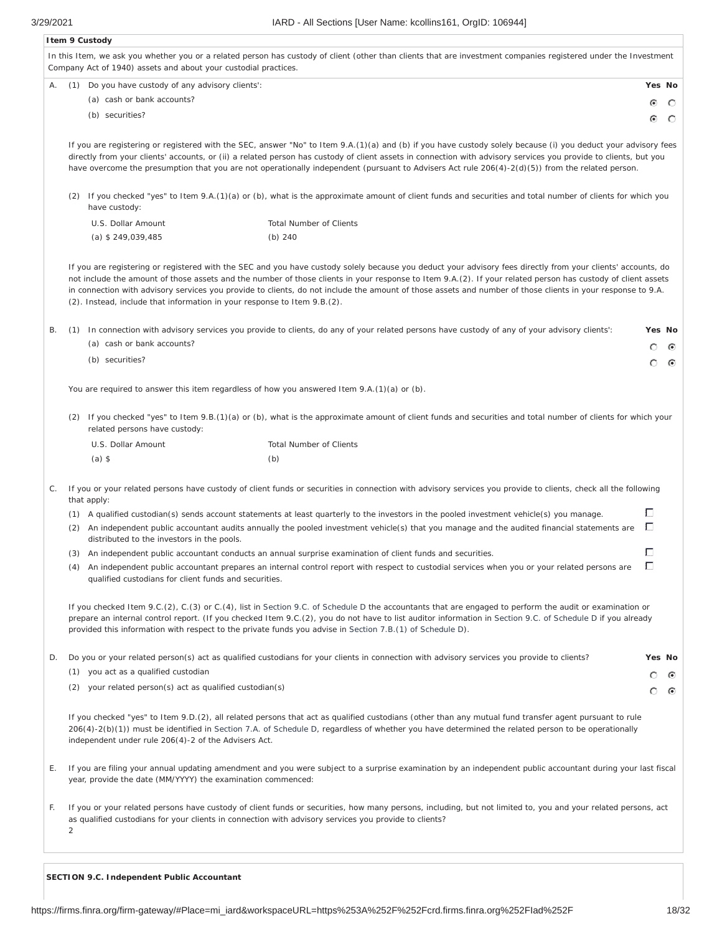|    |     | I tem 9 Custody                                                                                                                                                                                                                                                                                                                                                                                                                                                                                                                                                         |        |             |
|----|-----|-------------------------------------------------------------------------------------------------------------------------------------------------------------------------------------------------------------------------------------------------------------------------------------------------------------------------------------------------------------------------------------------------------------------------------------------------------------------------------------------------------------------------------------------------------------------------|--------|-------------|
|    |     | In this Item, we ask you whether you or a related person has custody of client (other than clients that are investment companies registered under the Investment<br>Company Act of 1940) assets and about your custodial practices.                                                                                                                                                                                                                                                                                                                                     |        |             |
| Α. |     | (1) Do you have custody of any advisory clients':                                                                                                                                                                                                                                                                                                                                                                                                                                                                                                                       |        | Yes No      |
|    |     | (a) cash or bank accounts?                                                                                                                                                                                                                                                                                                                                                                                                                                                                                                                                              |        | ⊙ ⊙         |
|    |     | (b) securities?                                                                                                                                                                                                                                                                                                                                                                                                                                                                                                                                                         |        | ⊙ ⊙         |
|    |     | If you are registering or registered with the SEC, answer "No" to Item 9.A.(1)(a) and (b) if you have custody solely because (i) you deduct your advisory fees<br>directly from your clients' accounts, or (ii) a related person has custody of client assets in connection with advisory services you provide to clients, but you<br>have overcome the presumption that you are not operationally independent (pursuant to Advisers Act rule 206(4)-2(d)(5)) from the related person.                                                                                  |        |             |
|    | (2) | If you checked "yes" to Item 9.A.(1)(a) or (b), what is the approximate amount of client funds and securities and total number of clients for which you<br>have custody:                                                                                                                                                                                                                                                                                                                                                                                                |        |             |
|    |     | U.S. Dollar Amount<br>Total Number of Clients                                                                                                                                                                                                                                                                                                                                                                                                                                                                                                                           |        |             |
|    |     | (a) $$249,039,485$<br>(b) 240                                                                                                                                                                                                                                                                                                                                                                                                                                                                                                                                           |        |             |
|    |     | If you are registering or registered with the SEC and you have custody solely because you deduct your advisory fees directly from your clients' accounts, do<br>not include the amount of those assets and the number of those clients in your response to Item 9.A.(2). If your related person has custody of client assets<br>in connection with advisory services you provide to clients, do not include the amount of those assets and number of those clients in your response to 9.A.<br>(2). Instead, include that information in your response to Item 9.B.(2). |        |             |
| В. |     | (1) In connection with advisory services you provide to clients, do any of your related persons have custody of any of your advisory clients':                                                                                                                                                                                                                                                                                                                                                                                                                          |        | Yes No      |
|    |     | (a) cash or bank accounts?                                                                                                                                                                                                                                                                                                                                                                                                                                                                                                                                              | O      | - 61        |
|    |     | (b) securities?                                                                                                                                                                                                                                                                                                                                                                                                                                                                                                                                                         | O.     | - 0         |
|    |     | You are required to answer this item regardless of how you answered Item 9.A. $(1)(a)$ or $(b)$ .                                                                                                                                                                                                                                                                                                                                                                                                                                                                       |        |             |
|    |     | (2) If you checked "yes" to Item 9.B. (1)(a) or (b), what is the approximate amount of client funds and securities and total number of clients for which your<br>related persons have custody:                                                                                                                                                                                                                                                                                                                                                                          |        |             |
|    |     | U.S. Dollar Amount<br>Total Number of Clients                                                                                                                                                                                                                                                                                                                                                                                                                                                                                                                           |        |             |
|    |     | $(a)$ \$<br>(b)                                                                                                                                                                                                                                                                                                                                                                                                                                                                                                                                                         |        |             |
| C. |     | If you or your related persons have custody of client funds or securities in connection with advisory services you provide to clients, check all the following<br>that apply:                                                                                                                                                                                                                                                                                                                                                                                           |        |             |
|    |     | (1) A qualified custodian(s) sends account statements at least quarterly to the investors in the pooled investment vehicle(s) you manage.                                                                                                                                                                                                                                                                                                                                                                                                                               | П      |             |
|    |     | (2) An independent public accountant audits annually the pooled investment vehicle(s) that you manage and the audited financial statements are<br>distributed to the investors in the pools.                                                                                                                                                                                                                                                                                                                                                                            | п      |             |
|    |     | (3) An independent public accountant conducts an annual surprise examination of client funds and securities.                                                                                                                                                                                                                                                                                                                                                                                                                                                            | о      |             |
|    |     | (4) An independent public accountant prepares an internal control report with respect to custodial services when you or your related persons are<br>qualified custodians for <i>client</i> funds and securities.                                                                                                                                                                                                                                                                                                                                                        |        |             |
|    |     | If you checked Item 9.C.(2), C.(3) or C.(4), list in Section 9.C. of Schedule D the accountants that are engaged to perform the audit or examination or<br>prepare an internal control report. (If you checked Item 9.C.(2), you do not have to list auditor information in Section 9.C. of Schedule D if you already<br>provided this information with respect to the private funds you advise in Section 7.B.(1) of Schedule D).                                                                                                                                      |        |             |
| D. |     | Do you or your related person(s) act as qualified custodians for your clients in connection with advisory services you provide to clients?<br>(1) you act as a qualified custodian                                                                                                                                                                                                                                                                                                                                                                                      |        | Yes No      |
|    |     | (2) your <i>related person(s)</i> act as qualified custodian(s)                                                                                                                                                                                                                                                                                                                                                                                                                                                                                                         | о<br>о | -61<br>- 61 |
|    |     | If you checked "yes" to Item 9.D.(2), all related persons that act as qualified custodians (other than any mutual fund transfer agent pursuant to rule<br>206(4)-2(b)(1)) must be identified in Section 7.A. of Schedule D, regardless of whether you have determined the related person to be operationally<br>independent under rule 206(4)-2 of the Advisers Act.                                                                                                                                                                                                    |        |             |
| Е. |     | If you are filing your annual updating amendment and you were subject to a surprise examination by an independent public accountant during your last fiscal<br>year, provide the date (MM/YYYY) the examination commenced:                                                                                                                                                                                                                                                                                                                                              |        |             |
| F. | 2   | If you or your related persons have custody of client funds or securities, how many persons, including, but not limited to, you and your related persons, act<br>as qualified custodians for your clients in connection with advisory services you provide to clients?                                                                                                                                                                                                                                                                                                  |        |             |
|    |     |                                                                                                                                                                                                                                                                                                                                                                                                                                                                                                                                                                         |        |             |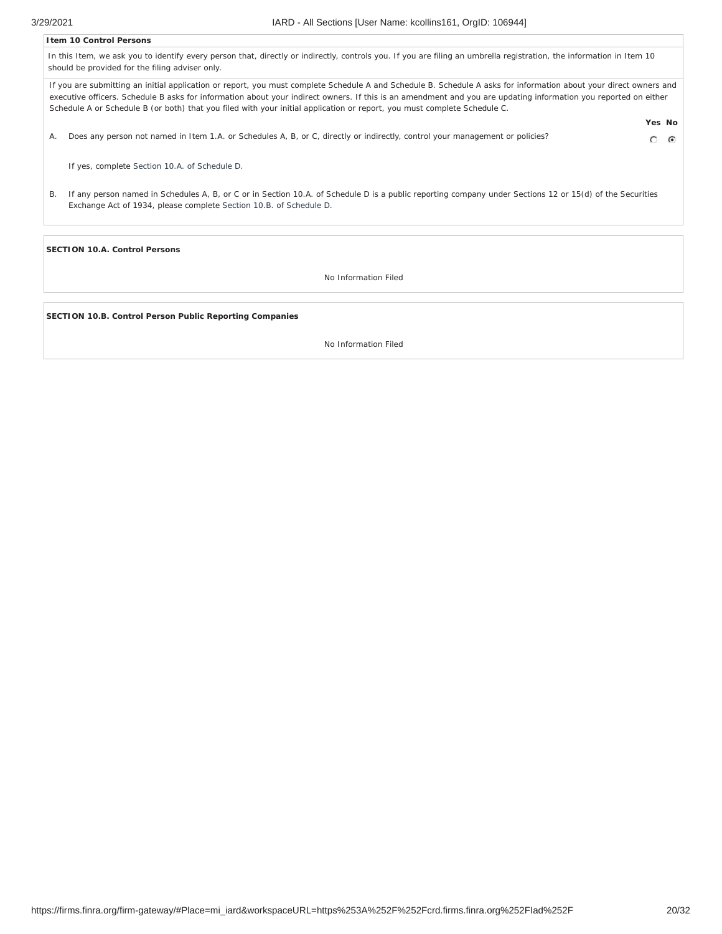### **Item 10 Control Persons** In this Item, we ask you to identify every *person* that, directly or indirectly, *controls* you. If you are filing an *umbrella registration*, the information in Item 10 should be provided for the *filing adviser* only. If you are submitting an initial application or report, you must complete Schedule A and Schedule B. Schedule A asks for information about your direct owners and executive officers. Schedule B asks for information about your indirect owners. If this is an amendment and you are updating information you reported on either Schedule A or Schedule B (or both) that you filed with your initial application or report, you must complete Schedule C. **Yes No** A. Does any *person* not named in Item 1.A. or Schedules A, B, or C, directly or indirectly, *control* your management or policies?  $\circ$ - 60

*If yes, complete Section 10.A. of Schedule D.*

B. If any *person* named in Schedules A, B, or C or in Section 10.A. of Schedule D is a public reporting company under Sections 12 or 15(d) of the Securities Exchange Act of 1934, please complete Section 10.B. of Schedule D.

**SECTION 10.A.** *Control Persons*

No Information Filed

**SECTION 10.B.** *Control Person* **Public Reporting Companies**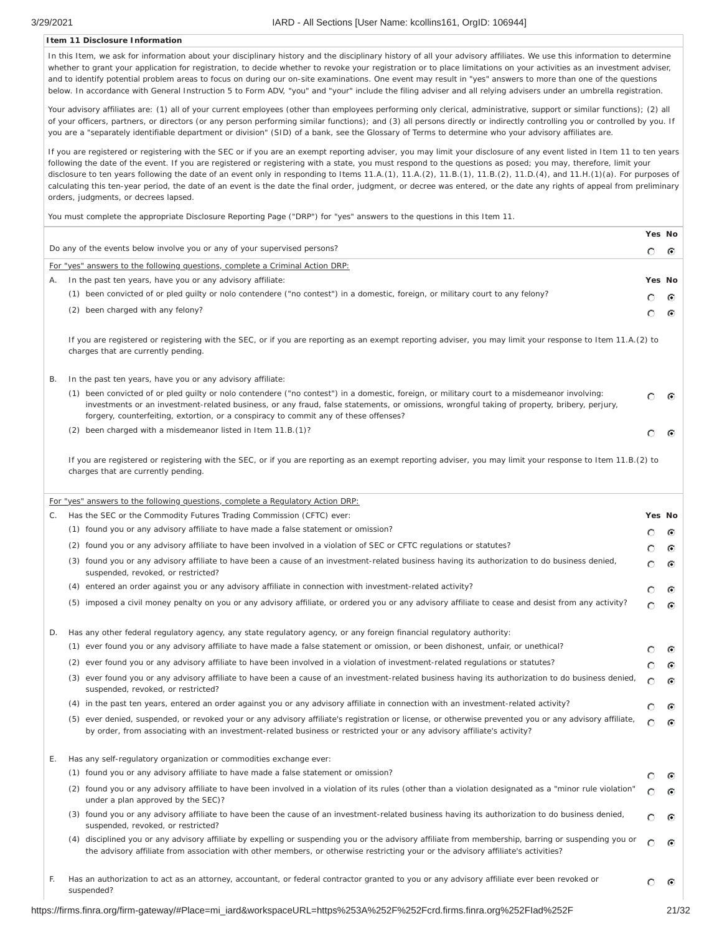In this Item, we ask for information about your disciplinary history and the disciplinary history of all your *advisory affiliates*. We use this information to determine whether to grant your application for registration, to decide whether to revoke your registration or to place limitations on your activities as an investment adviser, and to identify potential problem areas to focus on during our on-site examinations. One event may result in "yes" answers to more than one of the questions below. In accordance with General Instruction 5 to Form ADV, "you" and "your" include the *filing adviser* and all *relying advisers* under an *umbrella registration*.

Your *advisory affiliates* are: (1) all of your current *employees* (other than *employees* performing only clerical, administrative, support or similar functions); (2) all of your officers, partners, or directors (or any *person* performing similar functions); and (3) all *persons* directly or indirectly *controlling* you or *controlled* by you. If you are a "separately identifiable department or division" (SID) of a bank, see the Glossary of Terms to determine who your *advisory affiliates* are.

*If you are registered or registering with the SEC or if you are an exempt reporting adviser, you may limit your disclosure of any event listed in Item 11 to ten years following the date of the event. If you are registered or registering with a state, you must respond to the questions as posed; you may, therefore, limit your disclosure to ten years following the date of an event only in responding to Items 11.A.(1), 11.A.(2), 11.B.(1), 11.B.(2), 11.D.(4), and 11.H.(1)(a). For purposes of calculating this ten-year period, the date of an event is the date the final order, judgment, or decree was entered, or the date any rights of appeal from preliminary orders, judgments, or decrees lapsed.*

You must complete the appropriate Disclosure Reporting Page ("DRP") for "yes" answers to the questions in this Item 11.

|    |                                                                                                                                                                                                                                                                                                                                                                                                      |   | Yes No |
|----|------------------------------------------------------------------------------------------------------------------------------------------------------------------------------------------------------------------------------------------------------------------------------------------------------------------------------------------------------------------------------------------------------|---|--------|
|    | Do any of the events below involve you or any of your <i>supervised persons</i> ?                                                                                                                                                                                                                                                                                                                    | O | -61    |
|    | For "yes" answers to the following questions, complete a Criminal Action DRP:                                                                                                                                                                                                                                                                                                                        |   |        |
| А. | In the past ten years, have you or any advisory affiliate:                                                                                                                                                                                                                                                                                                                                           |   | Yes No |
|    | been convicted of or pled guilty or nolo contendere ("no contest") in a domestic, foreign, or military court to any felony?<br>(1)                                                                                                                                                                                                                                                                   |   | -61    |
|    | been charged with any felony?<br>(2)                                                                                                                                                                                                                                                                                                                                                                 |   | ⊙      |
|    | If you are registered or registering with the SEC, or if you are reporting as an exempt reporting adviser, you may limit your response to Item 11.A.(2) to<br>charges that are currently pending.                                                                                                                                                                                                    |   |        |
| В. | In the past ten years, have you or any advisory affiliate:                                                                                                                                                                                                                                                                                                                                           |   |        |
|    | been convicted of or pled guilty or nolo contendere ("no contest") in a domestic, foreign, or military court to a <i>misdemeanor</i> involving:<br>(1)<br>investments or an <i>investment-related</i> business, or any fraud, false statements, or omissions, wrongful taking of property, bribery, perjury,<br>forgery, counterfeiting, extortion, or a conspiracy to commit any of these offenses? |   | ⊙      |
|    | been charged with a misdemeanor listed in Item 11.B.(1)?<br>(2)                                                                                                                                                                                                                                                                                                                                      |   |        |

*If you are registered or registering with the SEC, or if you are reporting as an exempt reporting adviser, you may limit your response to Item 11.B.(2) to charges that are currently pending.*

|    | For "yes" answers to the following questions, complete a Regulatory Action DRP:                                                                                                                                                                                                                         |          |        |            |
|----|---------------------------------------------------------------------------------------------------------------------------------------------------------------------------------------------------------------------------------------------------------------------------------------------------------|----------|--------|------------|
| C. | Has the SEC or the Commodity Futures Trading Commission (CFTC) ever:                                                                                                                                                                                                                                    |          | Yes No |            |
|    | (1) found you or any <i>advisory affiliate</i> to have made a false statement or omission?                                                                                                                                                                                                              | Ο        |        | ⊙          |
|    | found you or any advisory affiliate to have been involved in a violation of SEC or CFTC regulations or statutes?<br>(2)                                                                                                                                                                                 | о        |        | ⊙          |
|    | found you or any advisory affiliate to have been a cause of an investment-related business having its authorization to do business denied,<br>suspended, revoked, or restricted?                                                                                                                        | O        |        | $\odot$    |
|    | (4) entered an order against you or any advisory affiliate in connection with investment-related activity?                                                                                                                                                                                              |          |        | €          |
|    | imposed a civil money penalty on you or any <i>advisory affiliate</i> , or <i>ordered</i> you or any <i>advisory affiliate</i> to cease and desist from any activity?<br>(5)                                                                                                                            | O.       |        | $\bullet$  |
| D. | Has any other federal regulatory agency, any state regulatory agency, or any foreign financial regulatory authority:                                                                                                                                                                                    |          |        |            |
|    | (1) ever found you or any <i>advisory affiliate</i> to have made a false statement or omission, or been dishonest, unfair, or unethical?                                                                                                                                                                | O        |        | ⊙          |
|    | ever found you or any advisory affiliate to have been involved in a violation of investment-related regulations or statutes?<br>(2)                                                                                                                                                                     | O        |        | ⊙          |
|    | ever found you or any advisory affiliate to have been a cause of an investment-related business having its authorization to do business denied,<br>(3)<br>suspended, revoked, or restricted?                                                                                                            | $\Omega$ |        | $\epsilon$ |
|    | (4) in the past ten years, entered an order against you or any advisory affiliate in connection with an investment-related activity?                                                                                                                                                                    |          |        | €          |
|    | ever denied, suspended, or revoked your or any <i>advisory affiliate's</i> registration or license, or otherwise prevented you or any <i>advisory affiliate</i> ,<br>(5)<br>by order, from associating with an investment-related business or restricted your or any advisory affiliate's activity?     | O        |        | $\bullet$  |
| Е. | Has any self-regulatory organization or commodities exchange ever:                                                                                                                                                                                                                                      |          |        |            |
|    | (1) found you or any <i>advisory affiliate</i> to have made a false statement or omission?                                                                                                                                                                                                              | Ο        |        | $\epsilon$ |
|    | (2) found you or any advisory affiliate to have been involved in a violation of its rules (other than a violation designated as a "minor rule violation"<br>under a plan approved by the SEC)?                                                                                                          | O        |        | ⊙          |
|    | (3) found you or any advisory affiliate to have been the cause of an investment-related business having its authorization to do business denied,<br>suspended, revoked, or restricted?                                                                                                                  | о        |        | ⊙          |
|    | (4) disciplined you or any <i>advisory affiliate</i> by expelling or suspending you or the <i>advisory affiliate</i> from membership, barring or suspending you or<br>the advisory affiliate from association with other members, or otherwise restricting your or the advisory affiliate's activities? | O        |        | $\odot$    |
| F. | Has an authorization to act as an attorney, accountant, or federal contractor granted to you or any advisory affiliate ever been revoked or<br>suspended?                                                                                                                                               | O        |        | ⊙          |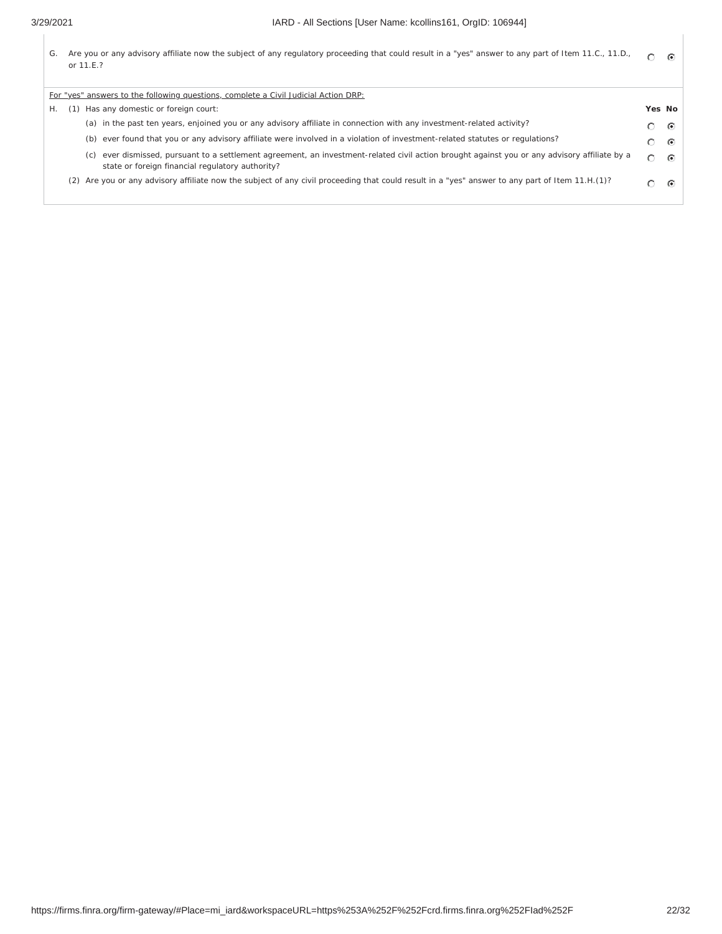state or *foreign financial regulatory authority*?

| Are you or any <i>advisory affiliate</i> now the subject of any regulatory <i>proceeding</i> that could result in a "yes" answer to any part of Item 11.C., 11.D.,<br>G.<br>or 11.E.? | $\circ$ | - 6    |
|---------------------------------------------------------------------------------------------------------------------------------------------------------------------------------------|---------|--------|
| For "yes" answers to the following questions, complete a Civil Judicial Action DRP:                                                                                                   |         |        |
| Has any domestic or foreign court:<br>Н.<br>(1)                                                                                                                                       |         | Yes No |
| (a) in the past ten years, enjoined you or any advisory affiliate in connection with any investment-related activity?                                                                 | O.      | - 6    |
| (b) ever found that you or any <i>advisory affiliate</i> were <i>involved</i> in a violation of <i>investment-related</i> statutes or regulations?                                    | O.      | -6     |
| ever dismissed, pursuant to a settlement agreement, an <i>investment-related</i> civil action brought against you or any <i>advisory affiliate</i> by a<br>(C)                        | O       | ⊙      |

(2) Are you or any *advisory affiliate* now the subject of any civil *proceeding* that could result in a "yes" answer to any part of Item 11.H.(1)?

https://firms.finra.org/firm-gateway/#Place=mi\_iard&workspaceURL=https%253A%252F%252Fcrd.firms.finra.org%252FIad%252F 22/32

 $O - \Theta$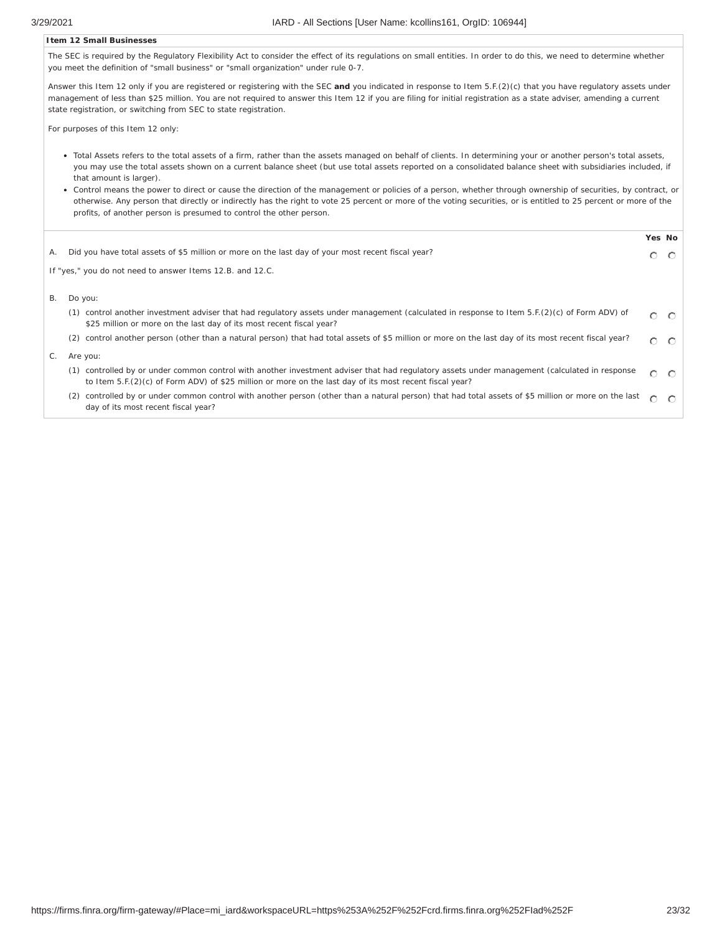#### **Item 12 Small Businesses**

The SEC is required by the Regulatory Flexibility Act to consider the effect of its regulations on small entities. In order to do this, we need to determine whether you meet the definition of "small business" or "small organization" under rule 0-7.

Answer this Item 12 only if you are registered or registering with the SEC **and** you indicated in response to Item 5.F.(2)(c) that you have regulatory assets under management of less than \$25 million. You are not required to answer this Item 12 if you are filing for initial registration as a state adviser, amending a current state registration, or switching from SEC to state registration.

For purposes of this Item 12 only:

- Total Assets refers to the total assets of a firm, rather than the assets managed on behalf of *clients*. In determining your or another *person's* total assets, you may use the total assets shown on a current balance sheet (but use total assets reported on a consolidated balance sheet with subsidiaries included, if that amount is larger).
- *Control* means the power to direct or cause the direction of the management or policies of a *person*, whether through ownership of securities, by contract, or otherwise. Any *person* that directly or indirectly has the right to vote 25 percent or more of the voting securities, or is entitled to 25 percent or more of the profits, of another *person* is presumed to *control* the other *person*.

|    |                                                                                                                                                                                                                                                             | Yes No          |      |
|----|-------------------------------------------------------------------------------------------------------------------------------------------------------------------------------------------------------------------------------------------------------------|-----------------|------|
| А. | Did you have total assets of \$5 million or more on the last day of your most recent fiscal year?                                                                                                                                                           | O               |      |
|    | If "yes," you do not need to answer Items 12.B. and 12.C.                                                                                                                                                                                                   |                 |      |
| В. | Do you:                                                                                                                                                                                                                                                     |                 |      |
|    | control another investment adviser that had regulatory assets under management (calculated in response to Item 5.F.(2)(c) of Form ADV) of<br>(1)<br>\$25 million or more on the last day of its most recent fiscal year?                                    | <u>o o</u>      |      |
|    | control another person (other than a natural person) that had total assets of \$5 million or more on the last day of its most recent fiscal year?<br>(2)                                                                                                    | $\circ$ $\circ$ |      |
| C. | Are you:                                                                                                                                                                                                                                                    |                 |      |
|    | controlled by or under common control with another investment adviser that had regulatory assets under management (calculated in response<br>(1)<br>to Item 5.F.(2)(c) of Form ADV) of \$25 million or more on the last day of its most recent fiscal year? | O               | - 0- |
|    | controlled by or under common control with another person (other than a natural person) that had total assets of \$5 million or more on the last<br>(2)<br>day of its most recent fiscal year?                                                              | $\circ$ $\circ$ |      |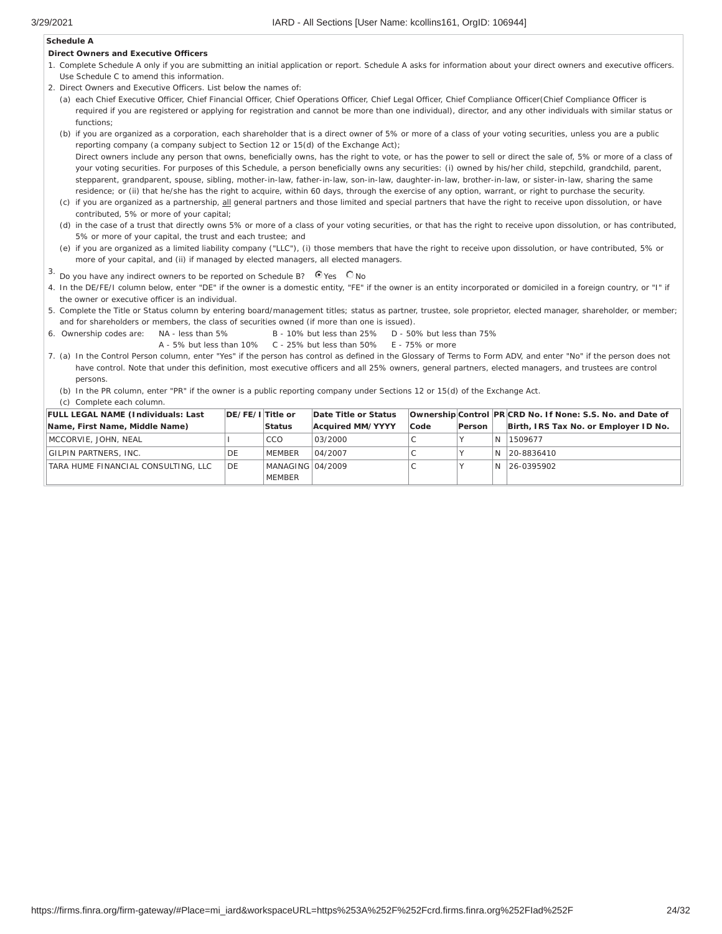# **Schedule A**

#### **Direct Owners and Executive Officers**

- 1. Complete Schedule A only if you are submitting an initial application or report. Schedule A asks for information about your direct owners and executive officers. Use Schedule C to amend this information.
- 2. Direct Owners and Executive Officers. List below the names of:

(a) each Chief Executive Officer, Chief Financial Officer, Chief Operations Officer, Chief Legal Officer, Chief Compliance Officer(Chief Compliance Officer is required if you are registered or applying for registration and cannot be more than one individual), director, and any other individuals with similar status or functions;

(b) if you are organized as a corporation, each shareholder that is a direct owner of 5% or more of a class of your voting securities, unless you are a public reporting company (a company subject to Section 12 or 15(d) of the Exchange Act); Direct owners include any *person* that owns, beneficially owns, has the right to vote, or has the power to sell or direct the sale of, 5% or more of a class of your voting securities. For purposes of this Schedule, a *person* beneficially owns any securities: (i) owned by his/her child, stepchild, grandchild, parent, stepparent, grandparent, spouse, sibling, mother-in-law, father-in-law, son-in-law, daughter-in-law, brother-in-law, or sister-in-law, sharing the same residence; or (ii) that he/she has the right to acquire, within 60 days, through the exercise of any option, warrant, or right to purchase the security.

- (c) if you are organized as a partnership, all general partners and those limited and special partners that have the right to receive upon dissolution, or have contributed, 5% or more of your capital;
- (d) in the case of a trust that directly owns 5% or more of a class of your voting securities, or that has the right to receive upon dissolution, or has contributed, 5% or more of your capital, the trust and each trustee; and
- (e) if you are organized as a limited liability company ("LLC"), (i) those members that have the right to receive upon dissolution, or have contributed, 5% or more of your capital, and (ii) if managed by elected managers, all elected managers.
- <sup>3.</sup> Do you have any indirect owners to be reported on Schedule B?  $\cdot$   $\bullet$  Yes  $\cdot$  O No
- 4. In the DE/FE/I column below, enter "DE" if the owner is a domestic entity, "FE" if the owner is an entity incorporated or domiciled in a foreign country, or "I" if the owner or executive officer is an individual.
- 5. Complete the Title or Status column by entering board/management titles; status as partner, trustee, sole proprietor, elected manager, shareholder, or member; and for shareholders or members, the class of securities owned (if more than one is issued).
- 6. Ownership codes are: NA less than 5% B 10% but less than 25% D 50% but less than 75%
	- A 5% but less than 10% C 25% but less than 50% E 75% or more
- 7. (a) In the *Control Person* column, enter "Yes" if the *person* has *control* as defined in the Glossary of Terms to Form ADV, and enter "No" if the *person* does not have *control*. Note that under this definition, most executive officers and all 25% owners, general partners, elected managers, and trustees are *control persons*.
	- (b) In the PR column, enter "PR" if the owner is a public reporting company under Sections 12 or 15(d) of the Exchange Act.
	- (c) Complete each column.

| FULL LEGAL NAME (Individuals: Last<br>DE/FE/I Title or |    |                  | Date Title or Status |      |        |     | Ownership Control PR CRD No. If None: S.S. No. and Date of |
|--------------------------------------------------------|----|------------------|----------------------|------|--------|-----|------------------------------------------------------------|
| Name, First Name, Middle Name)                         |    | <b>Status</b>    | Acquired MM/YYYY     | Code | Person |     | Birth, IRS Tax No. or Employer ID No.                      |
| MCCORVIE, JOHN, NEAL                                   |    | CCO              | 03/2000              |      |        | N   | 1509677                                                    |
| GILPIN PARTNERS, INC.                                  | DE | <b>MEMBER</b>    | 04/2007              |      |        | I N | 20-8836410                                                 |
| TARA HUME FINANCIAL CONSULTING. LLC                    | DE | MANAGING 04/2009 |                      |      |        |     | N 26-0395902                                               |
|                                                        |    | <b>MEMBER</b>    |                      |      |        |     |                                                            |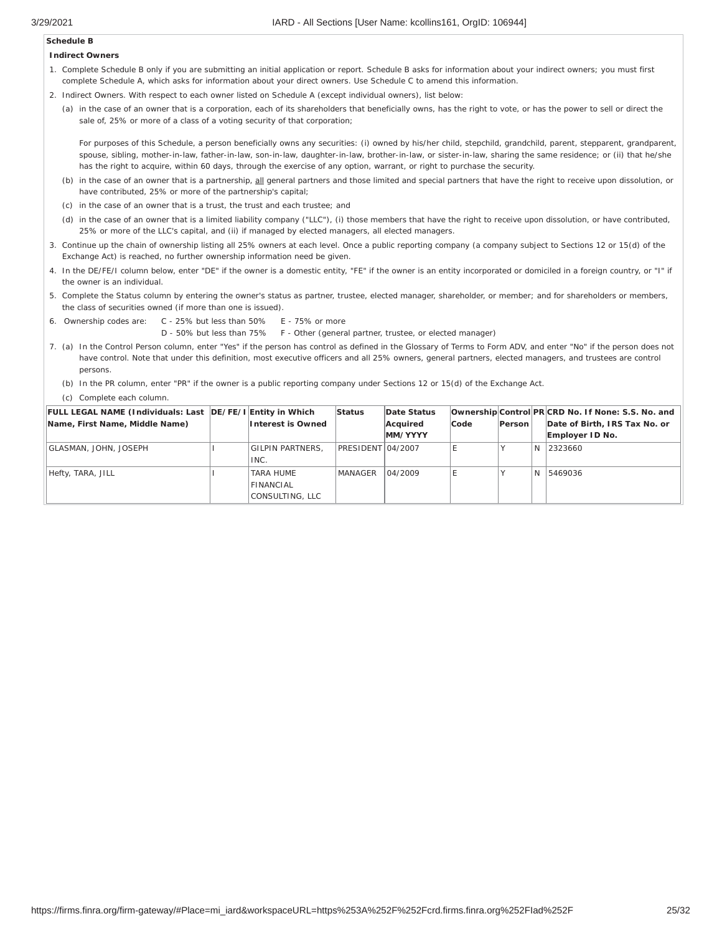# **Schedule B**

#### **Indirect Owners**

- 1. Complete Schedule B only if you are submitting an initial application or report. Schedule B asks for information about your indirect owners; you must first complete Schedule A, which asks for information about your direct owners. Use Schedule C to amend this information.
- 2. Indirect Owners. With respect to each owner listed on Schedule A (except individual owners), list below:
	- (a) in the case of an owner that is a corporation, each of its shareholders that beneficially owns, has the right to vote, or has the power to sell or direct the sale of, 25% or more of a class of a voting security of that corporation;

For purposes of this Schedule, a *person* beneficially owns any securities: (i) owned by his/her child, stepchild, grandchild, parent, stepparent, grandparent, spouse, sibling, mother-in-law, father-in-law, son-in-law, daughter-in-law, brother-in-law, or sister-in-law, sharing the same residence; or (ii) that he/she has the right to acquire, within 60 days, through the exercise of any option, warrant, or right to purchase the security.

- (b) in the case of an owner that is a partnership, all general partners and those limited and special partners that have the right to receive upon dissolution, or have contributed, 25% or more of the partnership's capital;
- (c) in the case of an owner that is a trust, the trust and each trustee; and
- (d) in the case of an owner that is a limited liability company ("LLC"), (i) those members that have the right to receive upon dissolution, or have contributed, 25% or more of the LLC's capital, and (ii) if managed by elected managers, all elected managers.
- 3. Continue up the chain of ownership listing all 25% owners at each level. Once a public reporting company (a company subject to Sections 12 or 15(d) of the Exchange Act) is reached, no further ownership information need be given.
- 4. In the DE/FE/I column below, enter "DE" if the owner is a domestic entity, "FE" if the owner is an entity incorporated or domiciled in a foreign country, or "I" if the owner is an individual.
- 5. Complete the Status column by entering the owner's status as partner, trustee, elected manager, shareholder, or member; and for shareholders or members, the class of securities owned (if more than one is issued).
- 6. Ownership codes are: C 25% but less than 50% E 75% or more

D - 50% but less than 75% F - Other (general partner, trustee, or elected manager)

7. (a) In the *Control Person* column, enter "Yes" if the *person* has *control* as defined in the Glossary of Terms to Form ADV, and enter "No" if the *person* does not have *control*. Note that under this definition, most executive officers and all 25% owners, general partners, elected managers, and trustees are *control persons*.

(b) In the PR column, enter "PR" if the owner is a public reporting company under Sections 12 or 15(d) of the Exchange Act.

(c) Complete each column.

| FULL LEGAL NAME (Individuals: Last  DE/FE/I Entity in Which |  |                                                  | <b>Status</b>     | Date Status |      |        |    | Ownership <i>Control</i> PR <i>CRD</i> No. If None: S.S. No. and |
|-------------------------------------------------------------|--|--------------------------------------------------|-------------------|-------------|------|--------|----|------------------------------------------------------------------|
| Name, First Name, Middle Name)                              |  | Interest is Owned                                |                   | Acquired    | Code | Person |    | Date of Birth, IRS Tax No. or                                    |
|                                                             |  |                                                  |                   | MM/YYYY     |      |        |    | Employer ID No.                                                  |
| GLASMAN, JOHN, JOSEPH_                                      |  | <b>GILPIN PARTNERS.</b><br>INC.                  | PRESIDENT 04/2007 |             |      |        | A  | 2323660                                                          |
| Hefty, TARA, JILL                                           |  | TARA HUME<br><b>FINANCIAL</b><br>CONSULTING, LLC | MANAGER           | 04/2009     |      |        | ۱N | 5469036                                                          |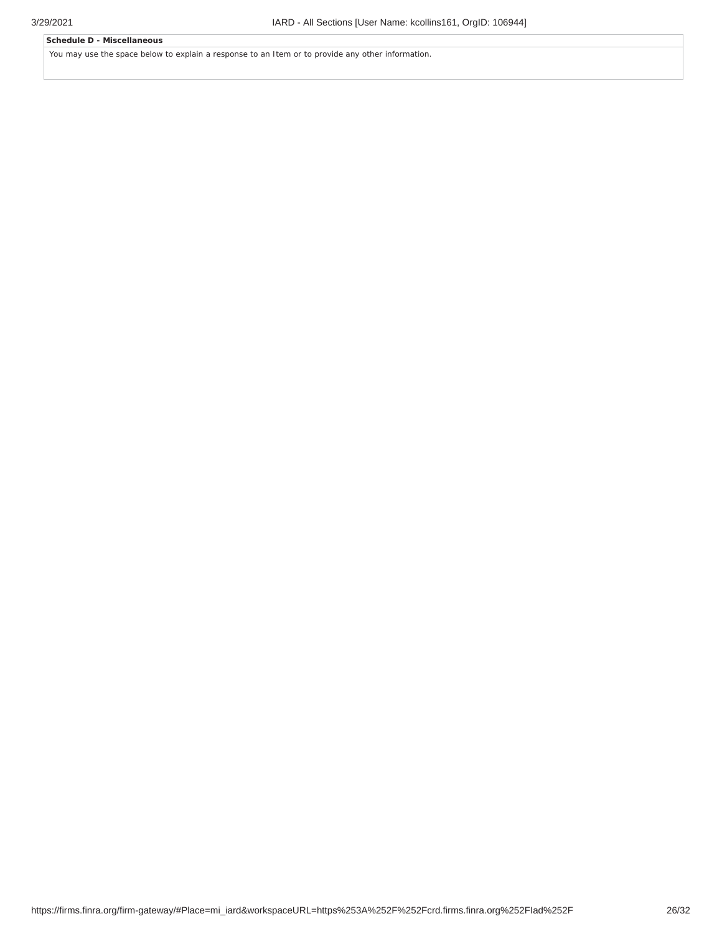## **Schedule D - Miscellaneous**

You may use the space below to explain a response to an Item or to provide any other information.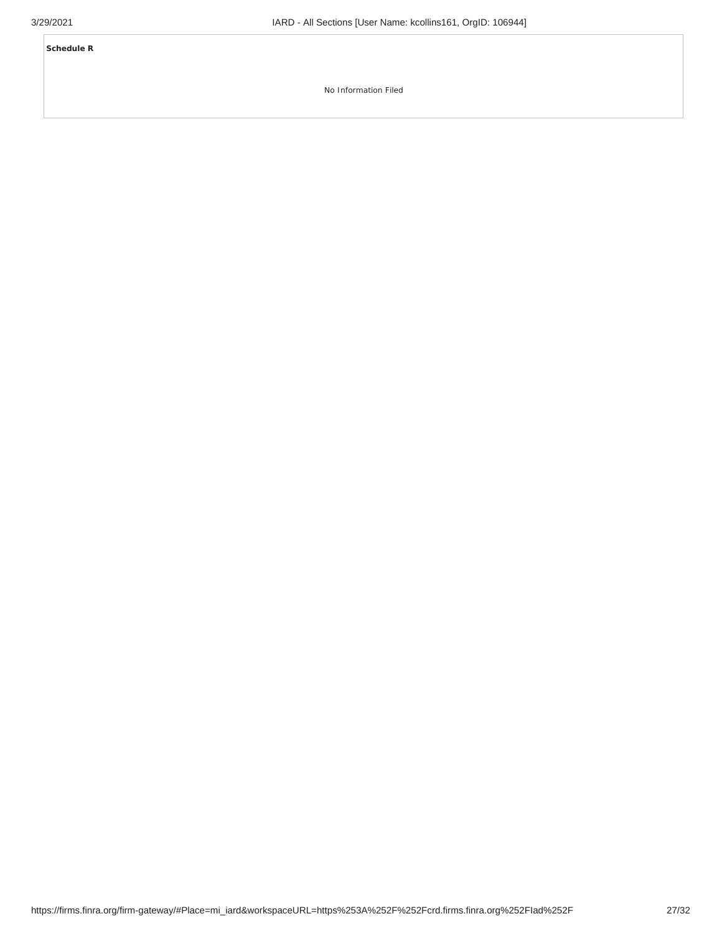**Schedule R**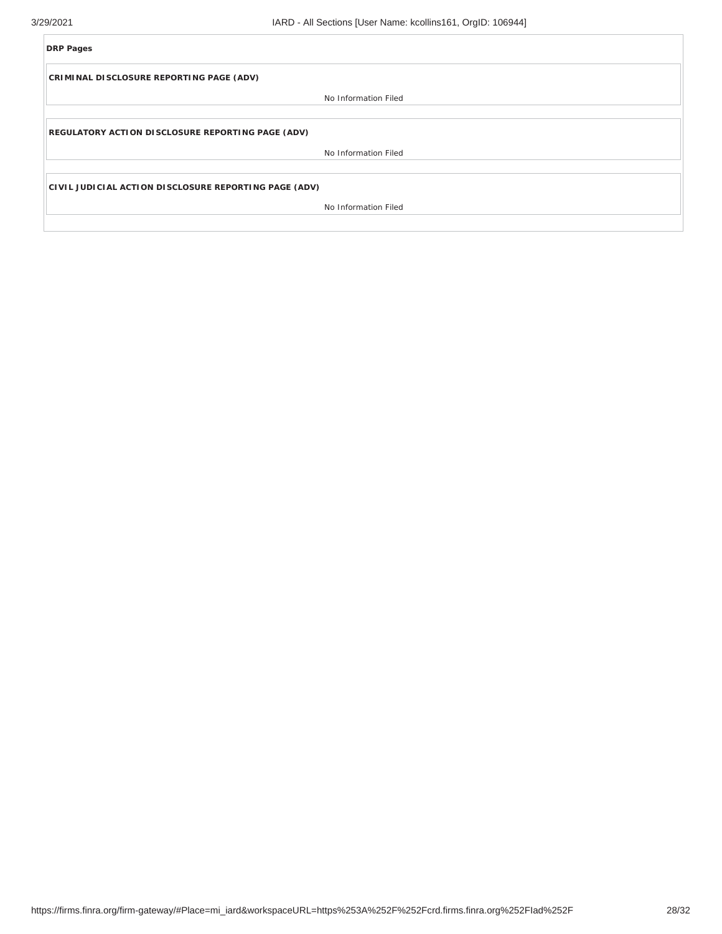| <b>DRP Pages</b>                                      |  |  |  |  |  |  |  |
|-------------------------------------------------------|--|--|--|--|--|--|--|
| CRIMINAL DISCLOSURE REPORTING PAGE (ADV)              |  |  |  |  |  |  |  |
| No Information Filed                                  |  |  |  |  |  |  |  |
|                                                       |  |  |  |  |  |  |  |
| REGULATORY ACTION DISCLOSURE REPORTING PAGE (ADV)     |  |  |  |  |  |  |  |
| No Information Filed                                  |  |  |  |  |  |  |  |
|                                                       |  |  |  |  |  |  |  |
| CIVIL JUDICIAL ACTION DISCLOSURE REPORTING PAGE (ADV) |  |  |  |  |  |  |  |
| No Information Filed                                  |  |  |  |  |  |  |  |
|                                                       |  |  |  |  |  |  |  |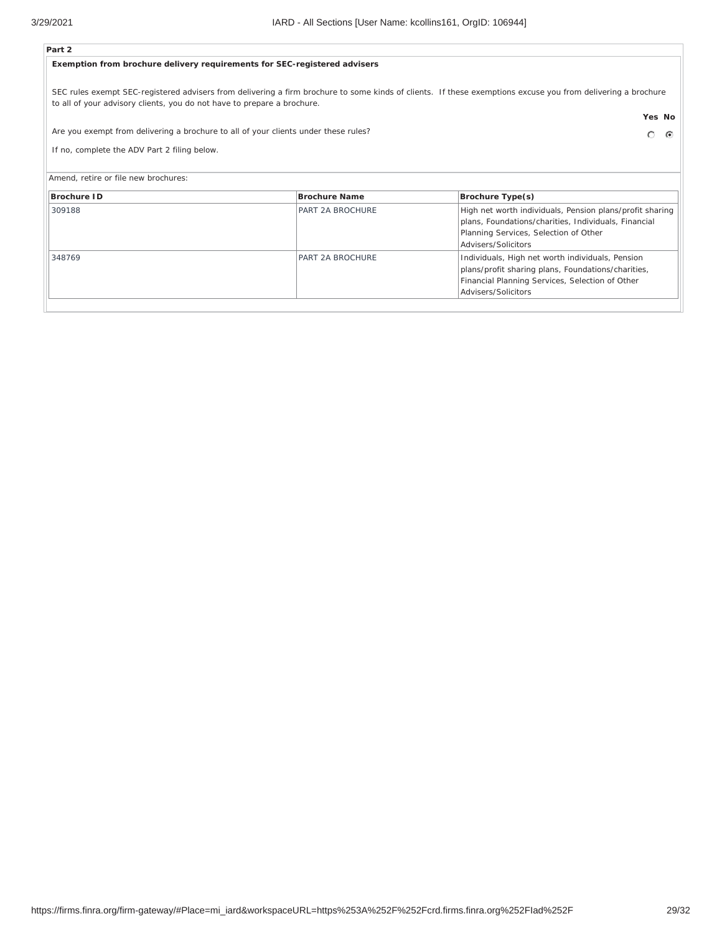Financial Planning Services, Selection of Other

Advisers/Solicitors

# **Part 2 Exemption from brochure delivery requirements for SEC-registered advisers** SEC rules exempt SEC-registered advisers from delivering a firm brochure to some kinds of clients. If these exemptions excuse you from delivering a brochure to *all* of your advisory clients, you do not have to prepare a brochure. **Yes No** Are you exempt from delivering a brochure to all of your clients under these rules?  $\circ$  $\odot$ *If no, complete the ADV Part 2 filing below.* Amend, retire or file new brochures: **Brochure ID** Brochure Name Brochure Type(s) 309188 PART 2A BROCHURE High net worth individuals, Pension plans/profit sharing plans, Foundations/charities, Individuals, Financial Planning Services, Selection of Other Advisers/Solicitors 348769 PART 2A BROCHURE Individuals, High net worth individuals, Pension plans/profit sharing plans, Foundations/charities,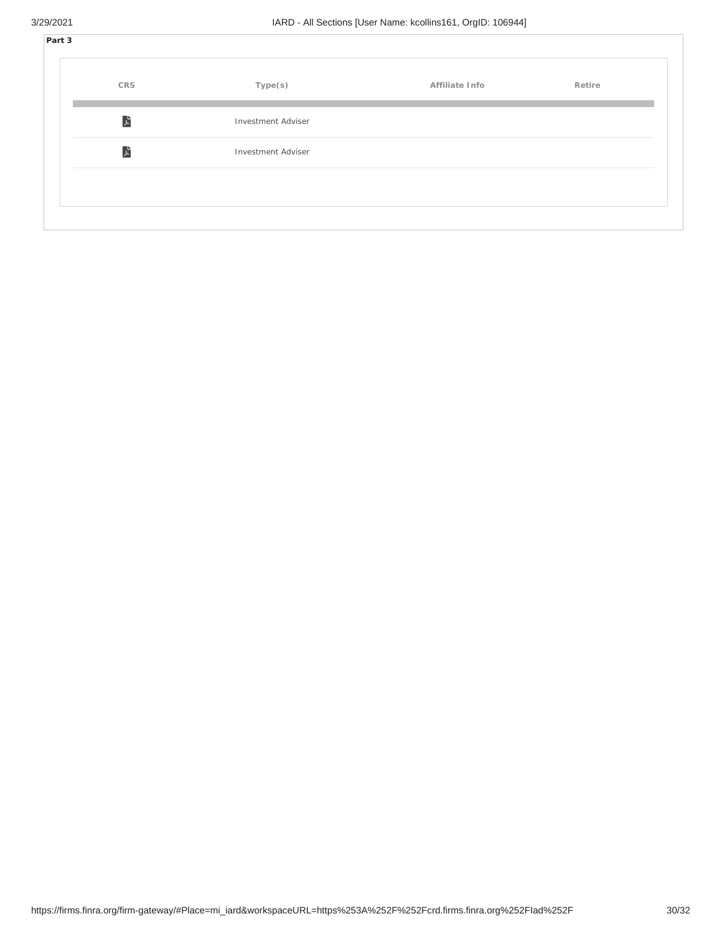| Part 3 |     |                           |                |        |  |
|--------|-----|---------------------------|----------------|--------|--|
|        | CRS | Type(s)                   | Affiliate Info | Retire |  |
|        | ♪   | <b>Investment Adviser</b> |                |        |  |
|        | 黄   | <b>Investment Adviser</b> |                |        |  |
|        |     |                           |                |        |  |
|        |     |                           |                |        |  |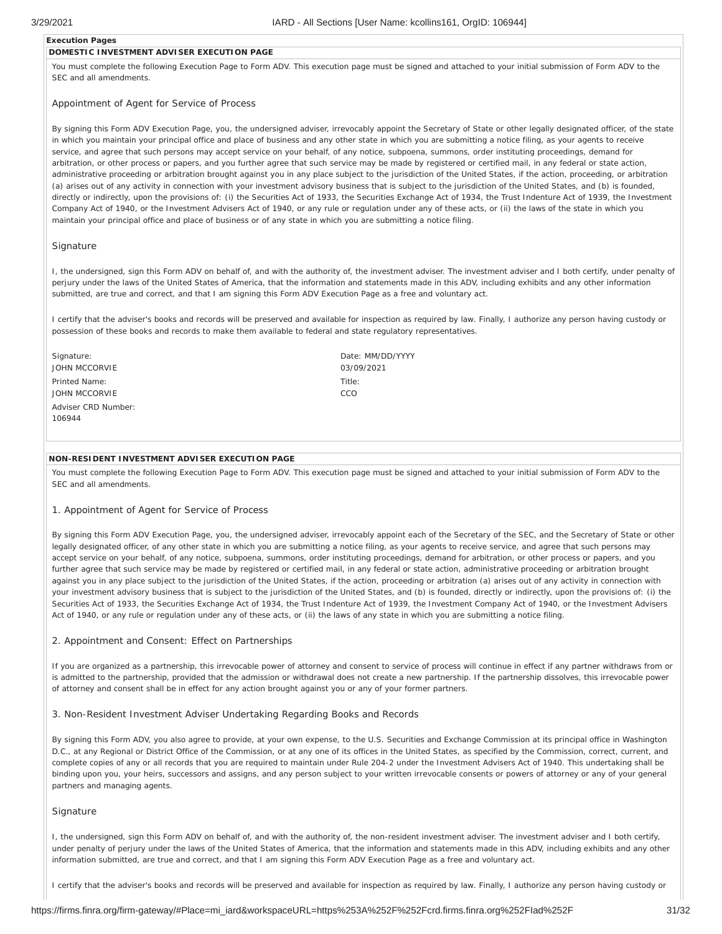#### **Execution Pages**

#### **DOMESTIC INVESTMENT ADVISER EXECUTION PAGE**

You must complete the following Execution Page to Form ADV. This execution page must be signed and attached to your initial submission of Form ADV to the SEC and all amendments.

#### Appointment of Agent for Service of Process

By signing this Form ADV Execution Page, you, the undersigned adviser, irrevocably appoint the Secretary of State or other legally designated officer, of the state in which you maintain your *principal office and place of business* and any other state in which you are submitting a *notice filing*, as your agents to receive service, and agree that such *persons* may accept service on your behalf, of any notice, subpoena, summons, *order* instituting *proceedings*, demand for arbitration, or other process or papers, and you further agree that such service may be made by registered or certified mail, in any federal or state action, administrative *proceeding* or arbitration brought against you in any place subject to the jurisdiction of the United States, if the action, *proceeding*, or arbitration (a) arises out of any activity in connection with your investment advisory business that is subject to the jurisdiction of the United States, and (b) is *founded*, directly or indirectly, upon the provisions of: (i) the Securities Act of 1933, the Securities Exchange Act of 1934, the Trust Indenture Act of 1939, the Investment Company Act of 1940, or the Investment Advisers Act of 1940, or any rule or regulation under any of these acts, or (ii) the laws of the state in which you maintain your *principal office and place of business* or of any state in which you are submitting a *notice filing*.

#### **Signature**

I, the undersigned, sign this Form ADV on behalf of, and with the authority of, the investment adviser. The investment adviser and I both certify, under penalty of perjury under the laws of the United States of America, that the information and statements made in this ADV, including exhibits and any other information submitted, are true and correct, and that I am signing this Form ADV Execution Page as a free and voluntary act.

I certify that the adviser's books and records will be preserved and available for inspection as required by law. Finally, I authorize any *person* having *custody* or possession of these books and records to make them available to federal and state regulatory representatives.

Signature: JOHN MCCORVIE Printed Name: JOHN MCCORVIE Adviser *CRD* Number: 106944

Date: MM/DD/YYYY 03/09/2021 Title: CCO

#### *NON-RESIDENT* **INVESTMENT ADVISER EXECUTION PAGE**

You must complete the following Execution Page to Form ADV. This execution page must be signed and attached to your initial submission of Form ADV to the SEC and all amendments.

#### 1. Appointment of Agent for Service of Process

By signing this Form ADV Execution Page, you, the undersigned adviser, irrevocably appoint each of the Secretary of the SEC, and the Secretary of State or other legally designated officer, of any other state in which you are submitting a *notice filing*, as your agents to receive service, and agree that such persons may accept service on your behalf, of any notice, subpoena, summons, *order* instituting *proceedings*, demand for arbitration, or other process or papers, and you further agree that such service may be made by registered or certified mail, in any federal or state action, administrative *proceeding* or arbitration brought against you in any place subject to the jurisdiction of the United States, if the action, *proceeding* or arbitration (a) arises out of any activity in connection with your investment advisory business that is subject to the jurisdiction of the United States, and (b) is *founded*, directly or indirectly, upon the provisions of: (i) the Securities Act of 1933, the Securities Exchange Act of 1934, the Trust Indenture Act of 1939, the Investment Company Act of 1940, or the Investment Advisers Act of 1940, or any rule or regulation under any of these acts, or (ii) the laws of any state in which you are submitting a *notice filing*.

#### 2. Appointment and Consent: Effect on Partnerships

If you are organized as a partnership, this irrevocable power of attorney and consent to service of process will continue in effect if any partner withdraws from or is admitted to the partnership, provided that the admission or withdrawal does not create a new partnership. If the partnership dissolves, this irrevocable power of attorney and consent shall be in effect for any action brought against you or any of your former partners.

#### 3. *Non-Resident* Investment Adviser Undertaking Regarding Books and Records

By signing this Form ADV, you also agree to provide, at your own expense, to the U.S. Securities and Exchange Commission at its principal office in Washington D.C., at any Regional or District Office of the Commission, or at any one of its offices in the United States, as specified by the Commission, correct, current, and complete copies of any or all records that you are required to maintain under Rule 204-2 under the Investment Advisers Act of 1940. This undertaking shall be binding upon you, your heirs, successors and assigns, and any *person* subject to your written irrevocable consents or powers of attorney or any of your general partners and *managing agents*.

#### Signature

I, the undersigned, sign this Form ADV on behalf of, and with the authority of, the *non-resident* investment adviser. The investment adviser and I both certify, under penalty of perjury under the laws of the United States of America, that the information and statements made in this ADV, including exhibits and any other information submitted, are true and correct, and that I am signing this Form ADV Execution Page as a free and voluntary act.

I certify that the adviser's books and records will be preserved and available for inspection as required by law. Finally, I authorize any *person* having *custody* or